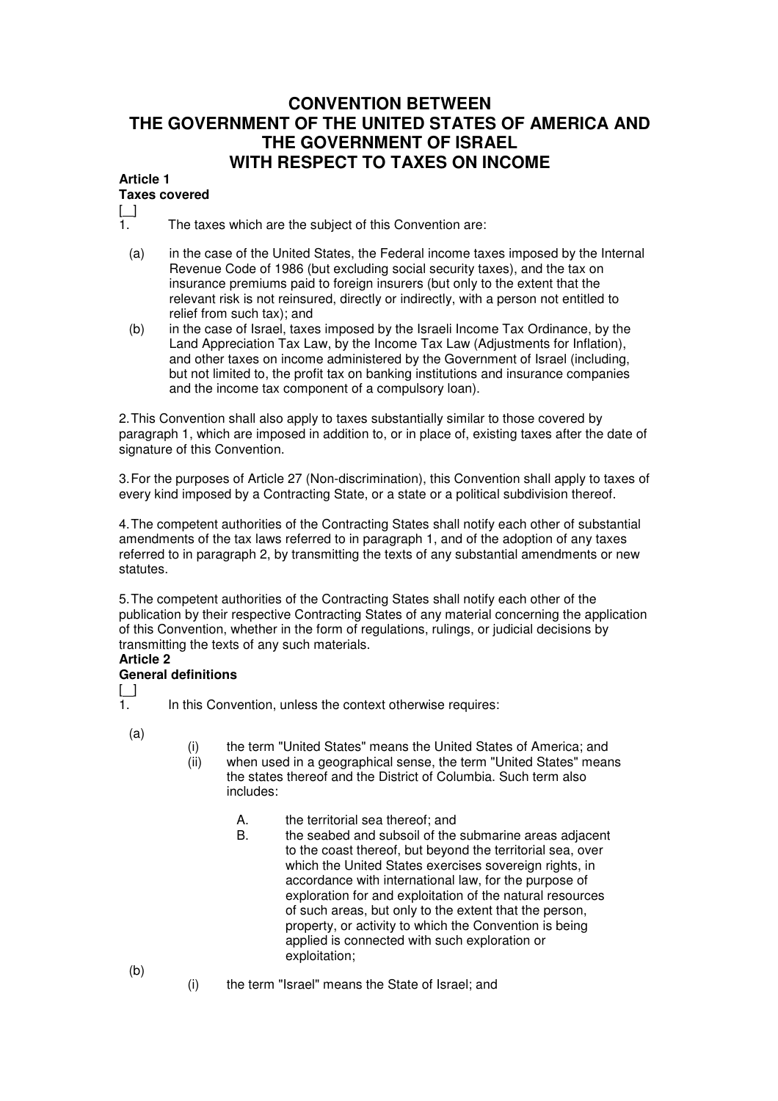# **CONVENTION BETWEEN THE GOVERNMENT OF THE UNITED STATES OF AMERICA AND THE GOVERNMENT OF ISRAEL WITH RESPECT TO TAXES ON INCOME**

# **Article 1**

**Taxes covered**   $\lceil$   $\rceil$ 

1. The taxes which are the subject of this Convention are:

- (a) in the case of the United States, the Federal income taxes imposed by the Internal Revenue Code of 1986 (but excluding social security taxes), and the tax on insurance premiums paid to foreign insurers (but only to the extent that the relevant risk is not reinsured, directly or indirectly, with a person not entitled to relief from such tax); and
- (b) in the case of Israel, taxes imposed by the Israeli Income Tax Ordinance, by the Land Appreciation Tax Law, by the Income Tax Law (Adjustments for Inflation), and other taxes on income administered by the Government of Israel (including, but not limited to, the profit tax on banking institutions and insurance companies and the income tax component of a compulsory loan).

2.This Convention shall also apply to taxes substantially similar to those covered by paragraph 1, which are imposed in addition to, or in place of, existing taxes after the date of signature of this Convention.

3.For the purposes of Article 27 (Non-discrimination), this Convention shall apply to taxes of every kind imposed by a Contracting State, or a state or a political subdivision thereof.

4.The competent authorities of the Contracting States shall notify each other of substantial amendments of the tax laws referred to in paragraph 1, and of the adoption of any taxes referred to in paragraph 2, by transmitting the texts of any substantial amendments or new statutes.

5.The competent authorities of the Contracting States shall notify each other of the publication by their respective Contracting States of any material concerning the application of this Convention, whether in the form of regulations, rulings, or judicial decisions by transmitting the texts of any such materials.

# **Article 2**

#### **General definitions**

[\_]<br>1

In this Convention, unless the context otherwise requires:

(a)

- (i) the term "United States" means the United States of America; and
- (ii) when used in a geographical sense, the term "United States" means the states thereof and the District of Columbia. Such term also includes:
	- A. the territorial sea thereof; and
	- B. the seabed and subsoil of the submarine areas adjacent to the coast thereof, but beyond the territorial sea, over which the United States exercises sovereign rights, in accordance with international law, for the purpose of exploration for and exploitation of the natural resources of such areas, but only to the extent that the person, property, or activity to which the Convention is being applied is connected with such exploration or exploitation;

(b)

(i) the term "Israel" means the State of Israel; and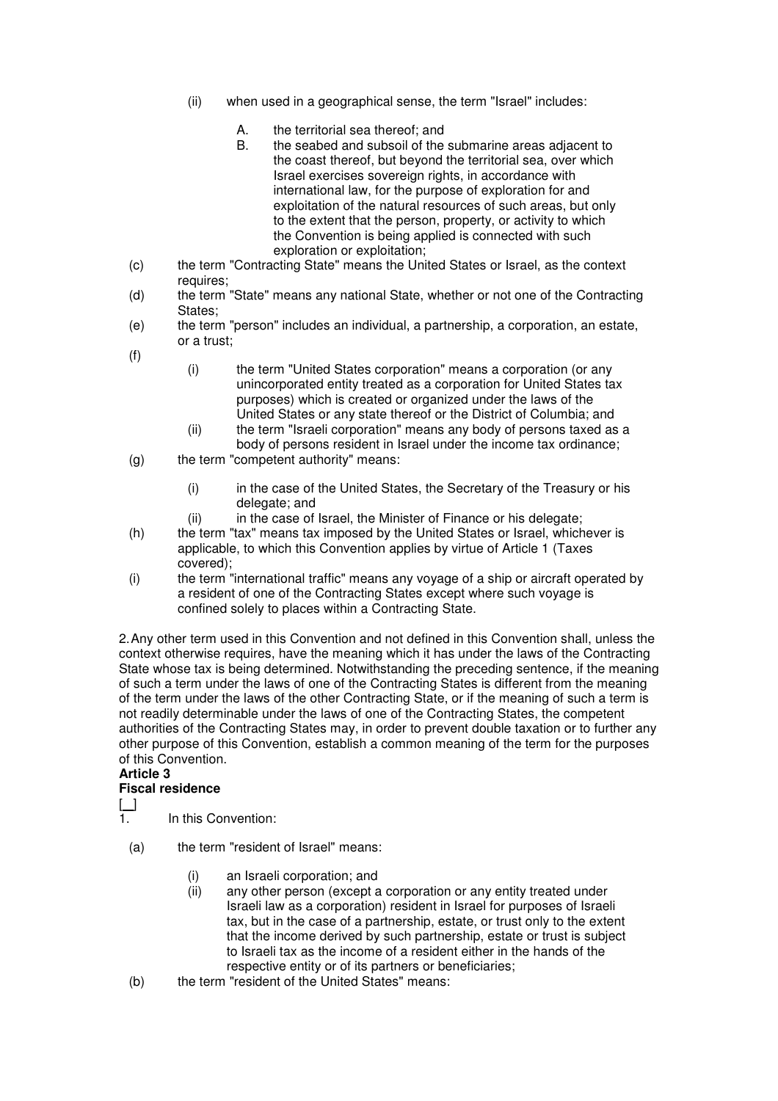- (ii) when used in a geographical sense, the term "Israel" includes:
	- A. the territorial sea thereof; and
	- B. the seabed and subsoil of the submarine areas adjacent to the coast thereof, but beyond the territorial sea, over which Israel exercises sovereign rights, in accordance with international law, for the purpose of exploration for and exploitation of the natural resources of such areas, but only to the extent that the person, property, or activity to which the Convention is being applied is connected with such exploration or exploitation;
- (c) the term "Contracting State" means the United States or Israel, as the context requires;
- (d) the term "State" means any national State, whether or not one of the Contracting States;
- (e) the term "person" includes an individual, a partnership, a corporation, an estate, or a trust;
- (f)
- (i) the term "United States corporation" means a corporation (or any unincorporated entity treated as a corporation for United States tax purposes) which is created or organized under the laws of the United States or any state thereof or the District of Columbia; and
- (ii) the term "Israeli corporation" means any body of persons taxed as a body of persons resident in Israel under the income tax ordinance;
- (g) the term "competent authority" means:
	- (i) in the case of the United States, the Secretary of the Treasury or his delegate; and
	- (ii) in the case of Israel, the Minister of Finance or his delegate;
- (h) the term "tax" means tax imposed by the United States or Israel, whichever is applicable, to which this Convention applies by virtue of Article 1 (Taxes covered);
- (i) the term "international traffic" means any voyage of a ship or aircraft operated by a resident of one of the Contracting States except where such voyage is confined solely to places within a Contracting State.

2.Any other term used in this Convention and not defined in this Convention shall, unless the context otherwise requires, have the meaning which it has under the laws of the Contracting State whose tax is being determined. Notwithstanding the preceding sentence, if the meaning of such a term under the laws of one of the Contracting States is different from the meaning of the term under the laws of the other Contracting State, or if the meaning of such a term is not readily determinable under the laws of one of the Contracting States, the competent authorities of the Contracting States may, in order to prevent double taxation or to further any other purpose of this Convention, establish a common meaning of the term for the purposes of this Convention.

#### **Article 3**

**Fiscal residence** 

 $\Box$ 

- 1. In this Convention:
- (a) the term "resident of Israel" means:
	- (i) an Israeli corporation; and
	- (ii) any other person (except a corporation or any entity treated under Israeli law as a corporation) resident in Israel for purposes of Israeli tax, but in the case of a partnership, estate, or trust only to the extent that the income derived by such partnership, estate or trust is subject to Israeli tax as the income of a resident either in the hands of the respective entity or of its partners or beneficiaries;
- (b) the term "resident of the United States" means: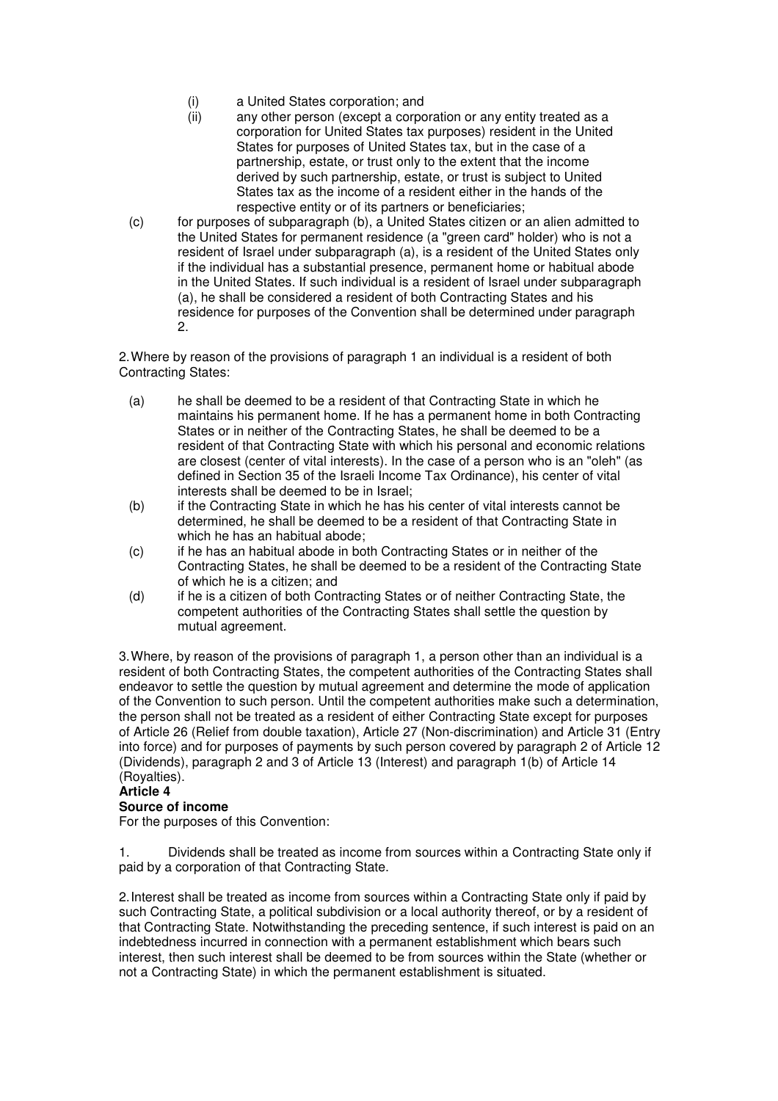- (i) a United States corporation; and
- (ii) any other person (except a corporation or any entity treated as a corporation for United States tax purposes) resident in the United States for purposes of United States tax, but in the case of a partnership, estate, or trust only to the extent that the income derived by such partnership, estate, or trust is subject to United States tax as the income of a resident either in the hands of the respective entity or of its partners or beneficiaries;
- (c) for purposes of subparagraph (b), a United States citizen or an alien admitted to the United States for permanent residence (a "green card" holder) who is not a resident of Israel under subparagraph (a), is a resident of the United States only if the individual has a substantial presence, permanent home or habitual abode in the United States. If such individual is a resident of Israel under subparagraph (a), he shall be considered a resident of both Contracting States and his residence for purposes of the Convention shall be determined under paragraph  $\mathcal{P}$

2.Where by reason of the provisions of paragraph 1 an individual is a resident of both Contracting States:

- (a) he shall be deemed to be a resident of that Contracting State in which he maintains his permanent home. If he has a permanent home in both Contracting States or in neither of the Contracting States, he shall be deemed to be a resident of that Contracting State with which his personal and economic relations are closest (center of vital interests). In the case of a person who is an "oleh" (as defined in Section 35 of the Israeli Income Tax Ordinance), his center of vital interests shall be deemed to be in Israel;
- (b) if the Contracting State in which he has his center of vital interests cannot be determined, he shall be deemed to be a resident of that Contracting State in which he has an habitual abode;
- (c) if he has an habitual abode in both Contracting States or in neither of the Contracting States, he shall be deemed to be a resident of the Contracting State of which he is a citizen; and
- (d) if he is a citizen of both Contracting States or of neither Contracting State, the competent authorities of the Contracting States shall settle the question by mutual agreement.

3.Where, by reason of the provisions of paragraph 1, a person other than an individual is a resident of both Contracting States, the competent authorities of the Contracting States shall endeavor to settle the question by mutual agreement and determine the mode of application of the Convention to such person. Until the competent authorities make such a determination, the person shall not be treated as a resident of either Contracting State except for purposes of Article 26 (Relief from double taxation), Article 27 (Non-discrimination) and Article 31 (Entry into force) and for purposes of payments by such person covered by paragraph 2 of Article 12 (Dividends), paragraph 2 and 3 of Article 13 (Interest) and paragraph 1(b) of Article 14 (Royalties).

# **Article 4**

### **Source of income**

For the purposes of this Convention:

1. Dividends shall be treated as income from sources within a Contracting State only if paid by a corporation of that Contracting State.

2.Interest shall be treated as income from sources within a Contracting State only if paid by such Contracting State, a political subdivision or a local authority thereof, or by a resident of that Contracting State. Notwithstanding the preceding sentence, if such interest is paid on an indebtedness incurred in connection with a permanent establishment which bears such interest, then such interest shall be deemed to be from sources within the State (whether or not a Contracting State) in which the permanent establishment is situated.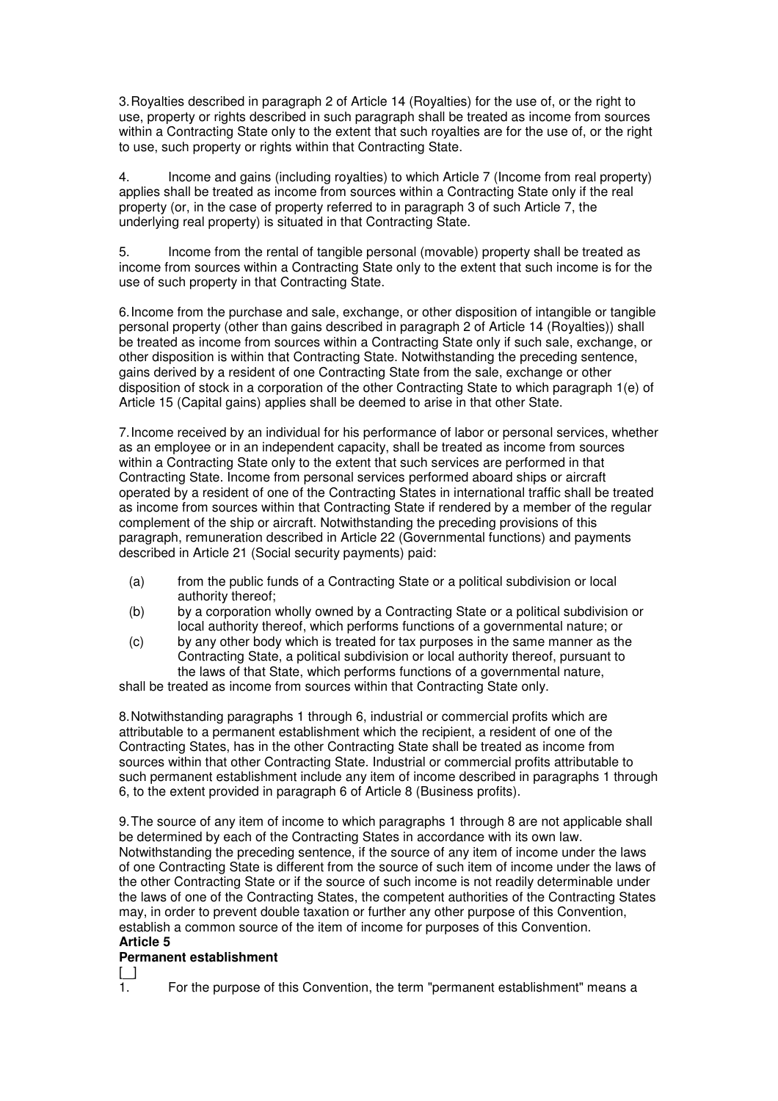3.Royalties described in paragraph 2 of Article 14 (Royalties) for the use of, or the right to use, property or rights described in such paragraph shall be treated as income from sources within a Contracting State only to the extent that such royalties are for the use of, or the right to use, such property or rights within that Contracting State.

4. Income and gains (including royalties) to which Article 7 (Income from real property) applies shall be treated as income from sources within a Contracting State only if the real property (or, in the case of property referred to in paragraph 3 of such Article 7, the underlying real property) is situated in that Contracting State.

5. Income from the rental of tangible personal (movable) property shall be treated as income from sources within a Contracting State only to the extent that such income is for the use of such property in that Contracting State.

6.Income from the purchase and sale, exchange, or other disposition of intangible or tangible personal property (other than gains described in paragraph 2 of Article 14 (Royalties)) shall be treated as income from sources within a Contracting State only if such sale, exchange, or other disposition is within that Contracting State. Notwithstanding the preceding sentence, gains derived by a resident of one Contracting State from the sale, exchange or other disposition of stock in a corporation of the other Contracting State to which paragraph 1(e) of Article 15 (Capital gains) applies shall be deemed to arise in that other State.

7.Income received by an individual for his performance of labor or personal services, whether as an employee or in an independent capacity, shall be treated as income from sources within a Contracting State only to the extent that such services are performed in that Contracting State. Income from personal services performed aboard ships or aircraft operated by a resident of one of the Contracting States in international traffic shall be treated as income from sources within that Contracting State if rendered by a member of the regular complement of the ship or aircraft. Notwithstanding the preceding provisions of this paragraph, remuneration described in Article 22 (Governmental functions) and payments described in Article 21 (Social security payments) paid:

- (a) from the public funds of a Contracting State or a political subdivision or local authority thereof;
- (b) by a corporation wholly owned by a Contracting State or a political subdivision or local authority thereof, which performs functions of a governmental nature; or
- (c) by any other body which is treated for tax purposes in the same manner as the Contracting State, a political subdivision or local authority thereof, pursuant to the laws of that State, which performs functions of a governmental nature,

shall be treated as income from sources within that Contracting State only.

8.Notwithstanding paragraphs 1 through 6, industrial or commercial profits which are attributable to a permanent establishment which the recipient, a resident of one of the Contracting States, has in the other Contracting State shall be treated as income from sources within that other Contracting State. Industrial or commercial profits attributable to such permanent establishment include any item of income described in paragraphs 1 through 6, to the extent provided in paragraph 6 of Article 8 (Business profits).

9.The source of any item of income to which paragraphs 1 through 8 are not applicable shall be determined by each of the Contracting States in accordance with its own law. Notwithstanding the preceding sentence, if the source of any item of income under the laws of one Contracting State is different from the source of such item of income under the laws of the other Contracting State or if the source of such income is not readily determinable under the laws of one of the Contracting States, the competent authorities of the Contracting States may, in order to prevent double taxation or further any other purpose of this Convention, establish a common source of the item of income for purposes of this Convention. **Article 5** 

#### **Permanent establishment**

 $\lceil$   $\rceil$ 

1. For the purpose of this Convention, the term "permanent establishment" means a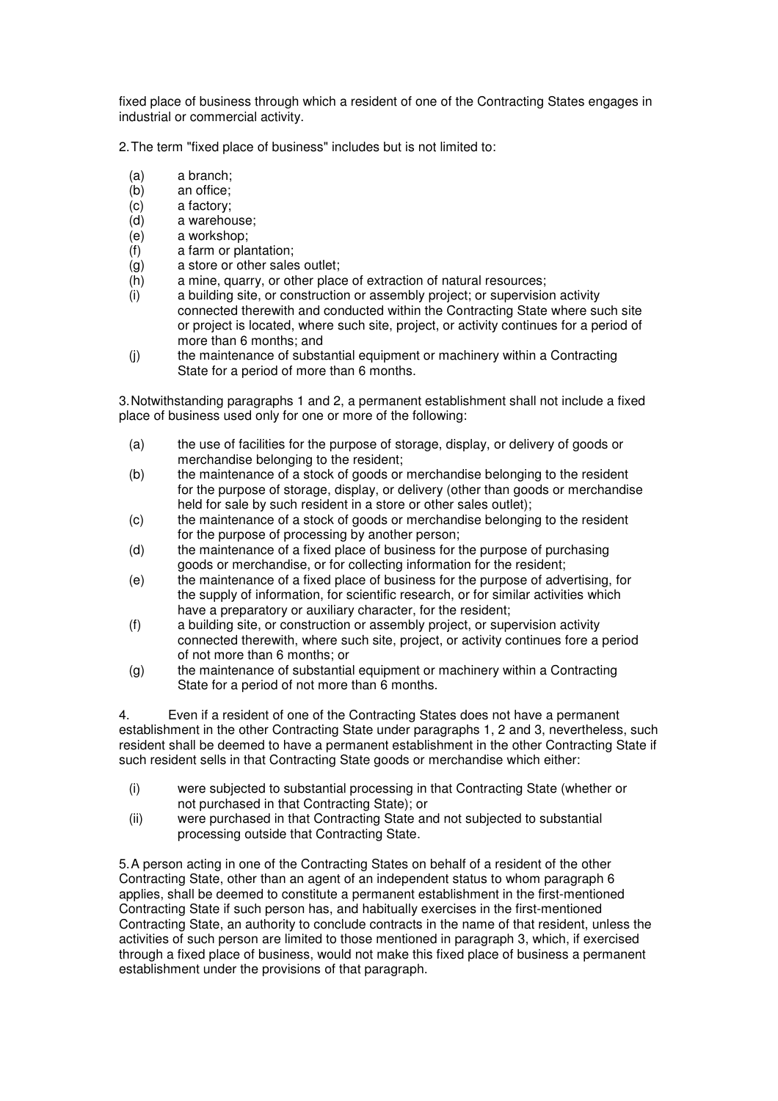fixed place of business through which a resident of one of the Contracting States engages in industrial or commercial activity.

- 2.The term "fixed place of business" includes but is not limited to:
	- (a) a branch;
	- (b) an office;
	- (c) a factory;
	- (d) a warehouse;
	- (e) a workshop;
	- $(f)$  a farm or plantation;<br>(g) a store or other sales
	- a store or other sales outlet:
	- (h) a mine, quarry, or other place of extraction of natural resources;
	- $(i)$  a building site, or construction or assembly project; or supervision activity connected therewith and conducted within the Contracting State where such site or project is located, where such site, project, or activity continues for a period of more than 6 months; and
	- (j) the maintenance of substantial equipment or machinery within a Contracting State for a period of more than 6 months.

3.Notwithstanding paragraphs 1 and 2, a permanent establishment shall not include a fixed place of business used only for one or more of the following:

- (a) the use of facilities for the purpose of storage, display, or delivery of goods or merchandise belonging to the resident;
- (b) the maintenance of a stock of goods or merchandise belonging to the resident for the purpose of storage, display, or delivery (other than goods or merchandise held for sale by such resident in a store or other sales outlet);
- (c) the maintenance of a stock of goods or merchandise belonging to the resident for the purpose of processing by another person;
- (d) the maintenance of a fixed place of business for the purpose of purchasing goods or merchandise, or for collecting information for the resident;
- (e) the maintenance of a fixed place of business for the purpose of advertising, for the supply of information, for scientific research, or for similar activities which have a preparatory or auxiliary character, for the resident;
- (f) a building site, or construction or assembly project, or supervision activity connected therewith, where such site, project, or activity continues fore a period of not more than 6 months; or
- (g) the maintenance of substantial equipment or machinery within a Contracting State for a period of not more than 6 months.

4. Even if a resident of one of the Contracting States does not have a permanent establishment in the other Contracting State under paragraphs 1, 2 and 3, nevertheless, such resident shall be deemed to have a permanent establishment in the other Contracting State if such resident sells in that Contracting State goods or merchandise which either:

- (i) were subjected to substantial processing in that Contracting State (whether or not purchased in that Contracting State); or
- (ii) were purchased in that Contracting State and not subjected to substantial processing outside that Contracting State.

5.A person acting in one of the Contracting States on behalf of a resident of the other Contracting State, other than an agent of an independent status to whom paragraph 6 applies, shall be deemed to constitute a permanent establishment in the first-mentioned Contracting State if such person has, and habitually exercises in the first-mentioned Contracting State, an authority to conclude contracts in the name of that resident, unless the activities of such person are limited to those mentioned in paragraph 3, which, if exercised through a fixed place of business, would not make this fixed place of business a permanent establishment under the provisions of that paragraph.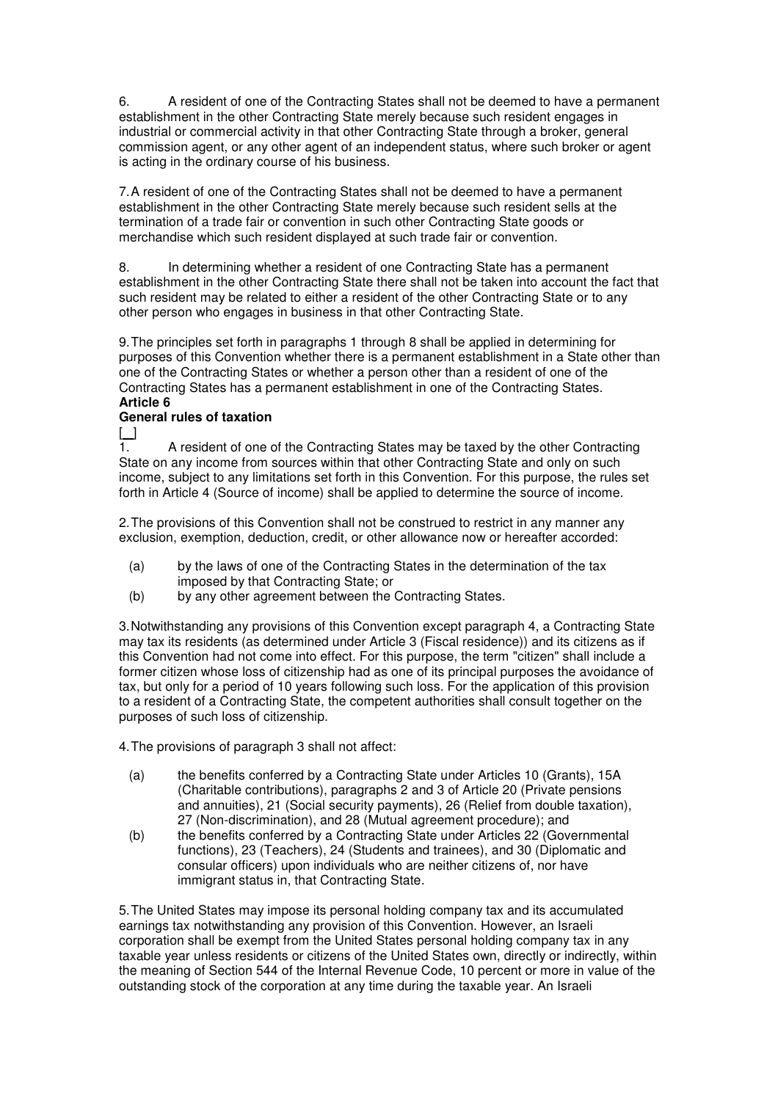6. A resident of one of the Contracting States shall not be deemed to have a permanent establishment in the other Contracting State merely because such resident engages in industrial or commercial activity in that other Contracting State through a broker, general commission agent, or any other agent of an independent status, where such broker or agent is acting in the ordinary course of his business.

7.A resident of one of the Contracting States shall not be deemed to have a permanent establishment in the other Contracting State merely because such resident sells at the termination of a trade fair or convention in such other Contracting State goods or merchandise which such resident displayed at such trade fair or convention.

8. In determining whether a resident of one Contracting State has a permanent establishment in the other Contracting State there shall not be taken into account the fact that such resident may be related to either a resident of the other Contracting State or to any other person who engages in business in that other Contracting State.

9.The principles set forth in paragraphs 1 through 8 shall be applied in determining for purposes of this Convention whether there is a permanent establishment in a State other than one of the Contracting States or whether a person other than a resident of one of the Contracting States has a permanent establishment in one of the Contracting States. **Article 6** 

#### **General rules of taxation**

 $\Box$ 

1. A resident of one of the Contracting States may be taxed by the other Contracting State on any income from sources within that other Contracting State and only on such income, subject to any limitations set forth in this Convention. For this purpose, the rules set forth in Article 4 (Source of income) shall be applied to determine the source of income.

2.The provisions of this Convention shall not be construed to restrict in any manner any exclusion, exemption, deduction, credit, or other allowance now or hereafter accorded:

- (a) by the laws of one of the Contracting States in the determination of the tax imposed by that Contracting State; or
- (b) by any other agreement between the Contracting States.

3.Notwithstanding any provisions of this Convention except paragraph 4, a Contracting State may tax its residents (as determined under Article 3 (Fiscal residence)) and its citizens as if this Convention had not come into effect. For this purpose, the term "citizen" shall include a former citizen whose loss of citizenship had as one of its principal purposes the avoidance of tax, but only for a period of 10 years following such loss. For the application of this provision to a resident of a Contracting State, the competent authorities shall consult together on the purposes of such loss of citizenship.

4.The provisions of paragraph 3 shall not affect:

- (a) the benefits conferred by a Contracting State under Articles 10 (Grants), 15A (Charitable contributions), paragraphs 2 and 3 of Article 20 (Private pensions and annuities), 21 (Social security payments), 26 (Relief from double taxation), 27 (Non-discrimination), and 28 (Mutual agreement procedure); and
- (b) the benefits conferred by a Contracting State under Articles 22 (Governmental functions), 23 (Teachers), 24 (Students and trainees), and 30 (Diplomatic and consular officers) upon individuals who are neither citizens of, nor have immigrant status in, that Contracting State.

5.The United States may impose its personal holding company tax and its accumulated earnings tax notwithstanding any provision of this Convention. However, an Israeli corporation shall be exempt from the United States personal holding company tax in any taxable year unless residents or citizens of the United States own, directly or indirectly, within the meaning of Section 544 of the Internal Revenue Code, 10 percent or more in value of the outstanding stock of the corporation at any time during the taxable year. An Israeli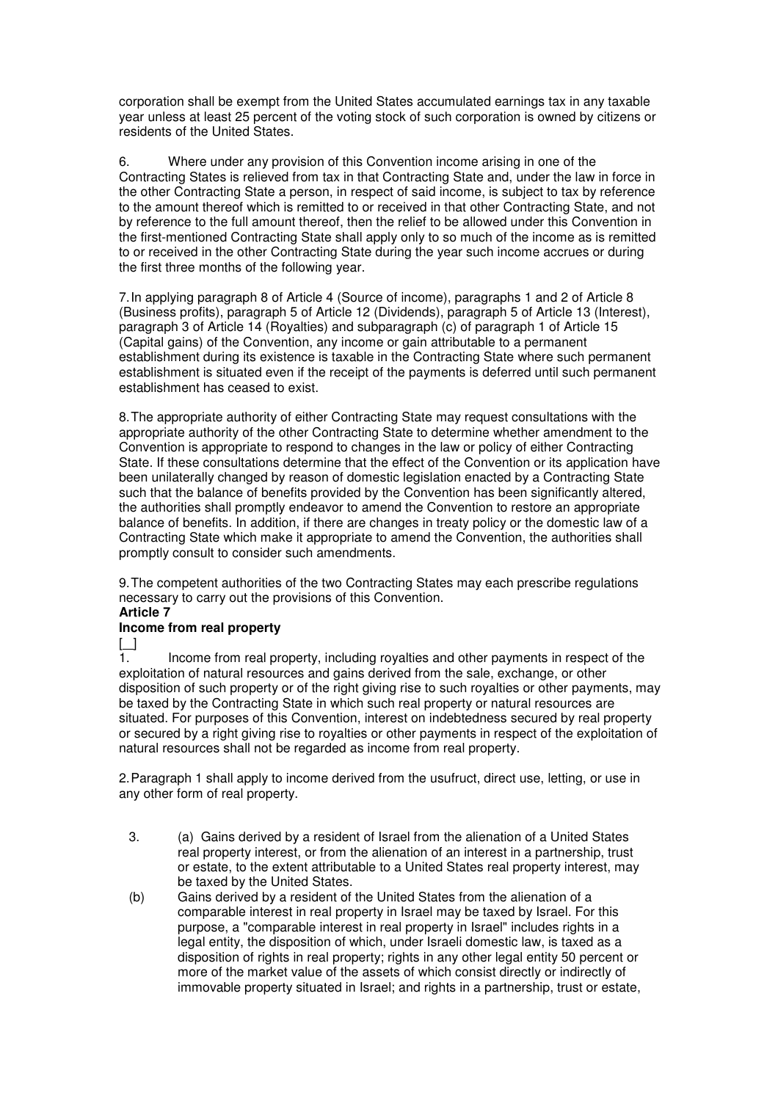corporation shall be exempt from the United States accumulated earnings tax in any taxable year unless at least 25 percent of the voting stock of such corporation is owned by citizens or residents of the United States.

6. Where under any provision of this Convention income arising in one of the Contracting States is relieved from tax in that Contracting State and, under the law in force in the other Contracting State a person, in respect of said income, is subject to tax by reference to the amount thereof which is remitted to or received in that other Contracting State, and not by reference to the full amount thereof, then the relief to be allowed under this Convention in the first-mentioned Contracting State shall apply only to so much of the income as is remitted to or received in the other Contracting State during the year such income accrues or during the first three months of the following year.

7.In applying paragraph 8 of Article 4 (Source of income), paragraphs 1 and 2 of Article 8 (Business profits), paragraph 5 of Article 12 (Dividends), paragraph 5 of Article 13 (Interest), paragraph 3 of Article 14 (Royalties) and subparagraph (c) of paragraph 1 of Article 15 (Capital gains) of the Convention, any income or gain attributable to a permanent establishment during its existence is taxable in the Contracting State where such permanent establishment is situated even if the receipt of the payments is deferred until such permanent establishment has ceased to exist.

8.The appropriate authority of either Contracting State may request consultations with the appropriate authority of the other Contracting State to determine whether amendment to the Convention is appropriate to respond to changes in the law or policy of either Contracting State. If these consultations determine that the effect of the Convention or its application have been unilaterally changed by reason of domestic legislation enacted by a Contracting State such that the balance of benefits provided by the Convention has been significantly altered, the authorities shall promptly endeavor to amend the Convention to restore an appropriate balance of benefits. In addition, if there are changes in treaty policy or the domestic law of a Contracting State which make it appropriate to amend the Convention, the authorities shall promptly consult to consider such amendments.

9.The competent authorities of the two Contracting States may each prescribe regulations necessary to carry out the provisions of this Convention.

#### **Article 7**

#### **Income from real property**

 $\Box$ 

1. Income from real property, including royalties and other payments in respect of the exploitation of natural resources and gains derived from the sale, exchange, or other disposition of such property or of the right giving rise to such royalties or other payments, may be taxed by the Contracting State in which such real property or natural resources are situated. For purposes of this Convention, interest on indebtedness secured by real property or secured by a right giving rise to royalties or other payments in respect of the exploitation of natural resources shall not be regarded as income from real property.

2.Paragraph 1 shall apply to income derived from the usufruct, direct use, letting, or use in any other form of real property.

- 3. (a) Gains derived by a resident of Israel from the alienation of a United States real property interest, or from the alienation of an interest in a partnership, trust or estate, to the extent attributable to a United States real property interest, may be taxed by the United States.
- (b) Gains derived by a resident of the United States from the alienation of a comparable interest in real property in Israel may be taxed by Israel. For this purpose, a "comparable interest in real property in Israel" includes rights in a legal entity, the disposition of which, under Israeli domestic law, is taxed as a disposition of rights in real property; rights in any other legal entity 50 percent or more of the market value of the assets of which consist directly or indirectly of immovable property situated in Israel; and rights in a partnership, trust or estate,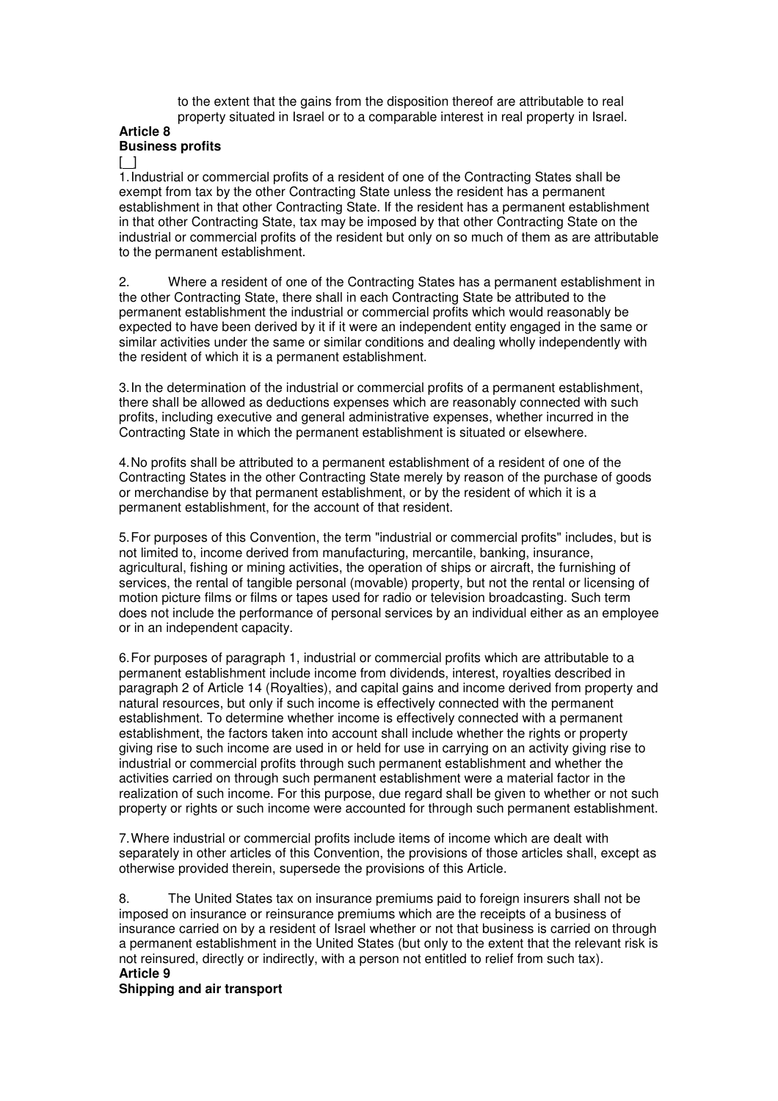to the extent that the gains from the disposition thereof are attributable to real property situated in Israel or to a comparable interest in real property in Israel.

#### **Article 8 Business profits**

 $\lfloor$  ]

1.Industrial or commercial profits of a resident of one of the Contracting States shall be exempt from tax by the other Contracting State unless the resident has a permanent establishment in that other Contracting State. If the resident has a permanent establishment in that other Contracting State, tax may be imposed by that other Contracting State on the industrial or commercial profits of the resident but only on so much of them as are attributable to the permanent establishment.

2. Where a resident of one of the Contracting States has a permanent establishment in the other Contracting State, there shall in each Contracting State be attributed to the permanent establishment the industrial or commercial profits which would reasonably be expected to have been derived by it if it were an independent entity engaged in the same or similar activities under the same or similar conditions and dealing wholly independently with the resident of which it is a permanent establishment.

3.In the determination of the industrial or commercial profits of a permanent establishment, there shall be allowed as deductions expenses which are reasonably connected with such profits, including executive and general administrative expenses, whether incurred in the Contracting State in which the permanent establishment is situated or elsewhere.

4.No profits shall be attributed to a permanent establishment of a resident of one of the Contracting States in the other Contracting State merely by reason of the purchase of goods or merchandise by that permanent establishment, or by the resident of which it is a permanent establishment, for the account of that resident.

5.For purposes of this Convention, the term "industrial or commercial profits" includes, but is not limited to, income derived from manufacturing, mercantile, banking, insurance, agricultural, fishing or mining activities, the operation of ships or aircraft, the furnishing of services, the rental of tangible personal (movable) property, but not the rental or licensing of motion picture films or films or tapes used for radio or television broadcasting. Such term does not include the performance of personal services by an individual either as an employee or in an independent capacity.

6.For purposes of paragraph 1, industrial or commercial profits which are attributable to a permanent establishment include income from dividends, interest, royalties described in paragraph 2 of Article 14 (Royalties), and capital gains and income derived from property and natural resources, but only if such income is effectively connected with the permanent establishment. To determine whether income is effectively connected with a permanent establishment, the factors taken into account shall include whether the rights or property giving rise to such income are used in or held for use in carrying on an activity giving rise to industrial or commercial profits through such permanent establishment and whether the activities carried on through such permanent establishment were a material factor in the realization of such income. For this purpose, due regard shall be given to whether or not such property or rights or such income were accounted for through such permanent establishment.

7.Where industrial or commercial profits include items of income which are dealt with separately in other articles of this Convention, the provisions of those articles shall, except as otherwise provided therein, supersede the provisions of this Article.

8. The United States tax on insurance premiums paid to foreign insurers shall not be imposed on insurance or reinsurance premiums which are the receipts of a business of insurance carried on by a resident of Israel whether or not that business is carried on through a permanent establishment in the United States (but only to the extent that the relevant risk is not reinsured, directly or indirectly, with a person not entitled to relief from such tax). **Article 9** 

**Shipping and air transport**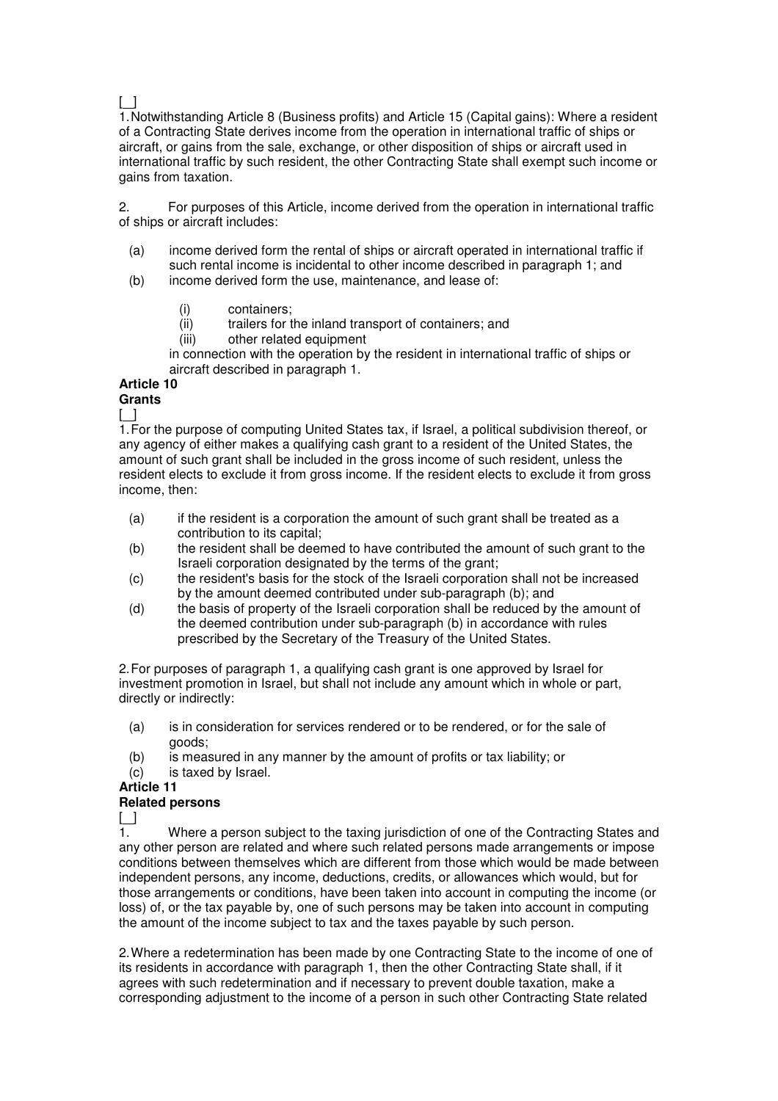$\overline{1}$ 

1.Notwithstanding Article 8 (Business profits) and Article 15 (Capital gains): Where a resident of a Contracting State derives income from the operation in international traffic of ships or aircraft, or gains from the sale, exchange, or other disposition of ships or aircraft used in international traffic by such resident, the other Contracting State shall exempt such income or gains from taxation.

2. For purposes of this Article, income derived from the operation in international traffic of ships or aircraft includes:

- (a) income derived form the rental of ships or aircraft operated in international traffic if such rental income is incidental to other income described in paragraph 1; and
- (b) income derived form the use, maintenance, and lease of:
	- (i) containers;
	- $(iii)$  trailers for the inland transport of containers; and  $(iii)$  other related equipment
	- other related equipment

in connection with the operation by the resident in international traffic of ships or aircraft described in paragraph 1.

#### **Article 10 Grants**

[ ]

1.For the purpose of computing United States tax, if Israel, a political subdivision thereof, or any agency of either makes a qualifying cash grant to a resident of the United States, the amount of such grant shall be included in the gross income of such resident, unless the resident elects to exclude it from gross income. If the resident elects to exclude it from gross income, then:

- (a) if the resident is a corporation the amount of such grant shall be treated as a contribution to its capital;
- (b) the resident shall be deemed to have contributed the amount of such grant to the Israeli corporation designated by the terms of the grant;
- (c) the resident's basis for the stock of the Israeli corporation shall not be increased by the amount deemed contributed under sub-paragraph (b); and
- (d) the basis of property of the Israeli corporation shall be reduced by the amount of the deemed contribution under sub-paragraph (b) in accordance with rules prescribed by the Secretary of the Treasury of the United States.

2.For purposes of paragraph 1, a qualifying cash grant is one approved by Israel for investment promotion in Israel, but shall not include any amount which in whole or part, directly or indirectly:

- (a) is in consideration for services rendered or to be rendered, or for the sale of goods;
- (b) is measured in any manner by the amount of profits or tax liability; or  $(c)$  is taxed by Israel.
- is taxed by Israel.

**Article 11** 

#### **Related persons**

 $\lceil$   $\rceil$ 

1. Where a person subject to the taxing jurisdiction of one of the Contracting States and any other person are related and where such related persons made arrangements or impose conditions between themselves which are different from those which would be made between independent persons, any income, deductions, credits, or allowances which would, but for those arrangements or conditions, have been taken into account in computing the income (or loss) of, or the tax payable by, one of such persons may be taken into account in computing the amount of the income subject to tax and the taxes payable by such person.

2.Where a redetermination has been made by one Contracting State to the income of one of its residents in accordance with paragraph 1, then the other Contracting State shall, if it agrees with such redetermination and if necessary to prevent double taxation, make a corresponding adjustment to the income of a person in such other Contracting State related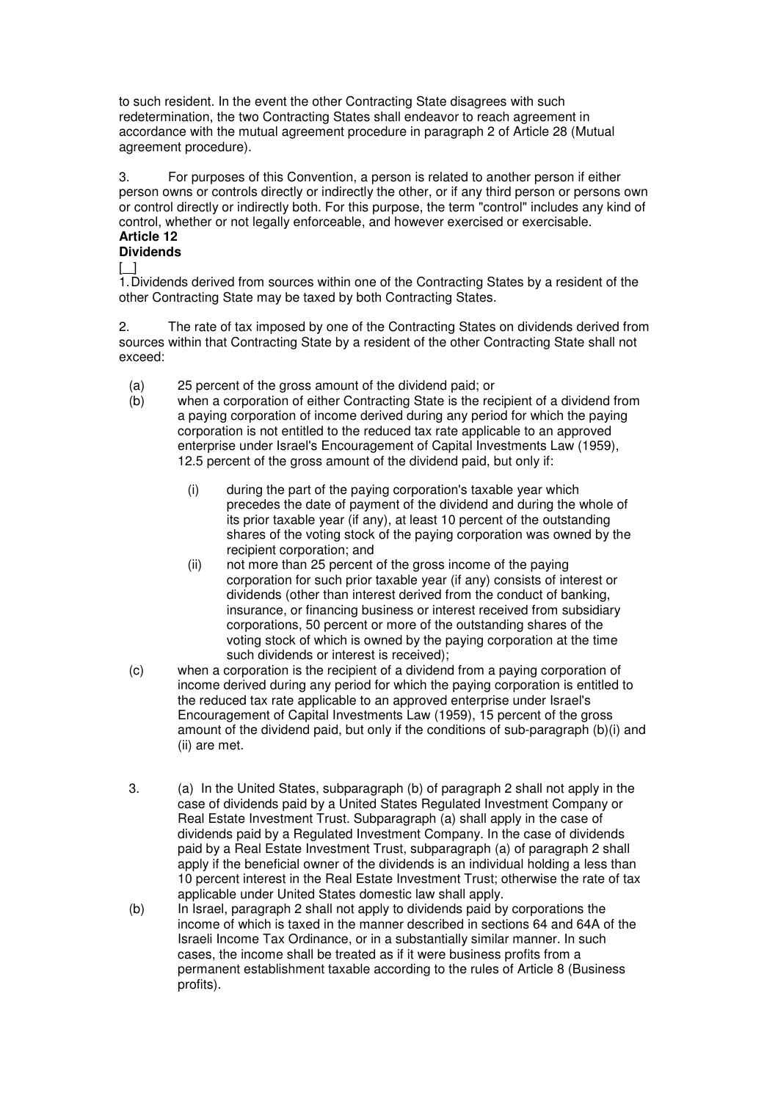to such resident. In the event the other Contracting State disagrees with such redetermination, the two Contracting States shall endeavor to reach agreement in accordance with the mutual agreement procedure in paragraph 2 of Article 28 (Mutual agreement procedure).

3. For purposes of this Convention, a person is related to another person if either person owns or controls directly or indirectly the other, or if any third person or persons own or control directly or indirectly both. For this purpose, the term "control" includes any kind of control, whether or not legally enforceable, and however exercised or exercisable. **Article 12** 

# **Dividends**

#### $\overline{ }$

1.Dividends derived from sources within one of the Contracting States by a resident of the other Contracting State may be taxed by both Contracting States.

2. The rate of tax imposed by one of the Contracting States on dividends derived from sources within that Contracting State by a resident of the other Contracting State shall not exceed:

- (a) 25 percent of the gross amount of the dividend paid; or
- (b) when a corporation of either Contracting State is the recipient of a dividend from a paying corporation of income derived during any period for which the paying corporation is not entitled to the reduced tax rate applicable to an approved enterprise under Israel's Encouragement of Capital Investments Law (1959), 12.5 percent of the gross amount of the dividend paid, but only if:
	- (i) during the part of the paying corporation's taxable year which precedes the date of payment of the dividend and during the whole of its prior taxable year (if any), at least 10 percent of the outstanding shares of the voting stock of the paying corporation was owned by the recipient corporation; and
	- (ii) not more than 25 percent of the gross income of the paying corporation for such prior taxable year (if any) consists of interest or dividends (other than interest derived from the conduct of banking, insurance, or financing business or interest received from subsidiary corporations, 50 percent or more of the outstanding shares of the voting stock of which is owned by the paying corporation at the time such dividends or interest is received);
- (c) when a corporation is the recipient of a dividend from a paying corporation of income derived during any period for which the paying corporation is entitled to the reduced tax rate applicable to an approved enterprise under Israel's Encouragement of Capital Investments Law (1959), 15 percent of the gross amount of the dividend paid, but only if the conditions of sub-paragraph (b)(i) and (ii) are met.
- 3. (a) In the United States, subparagraph (b) of paragraph 2 shall not apply in the case of dividends paid by a United States Regulated Investment Company or Real Estate Investment Trust. Subparagraph (a) shall apply in the case of dividends paid by a Regulated Investment Company. In the case of dividends paid by a Real Estate Investment Trust, subparagraph (a) of paragraph 2 shall apply if the beneficial owner of the dividends is an individual holding a less than 10 percent interest in the Real Estate Investment Trust; otherwise the rate of tax applicable under United States domestic law shall apply.
- (b) In Israel, paragraph 2 shall not apply to dividends paid by corporations the income of which is taxed in the manner described in sections 64 and 64A of the Israeli Income Tax Ordinance, or in a substantially similar manner. In such cases, the income shall be treated as if it were business profits from a permanent establishment taxable according to the rules of Article 8 (Business profits).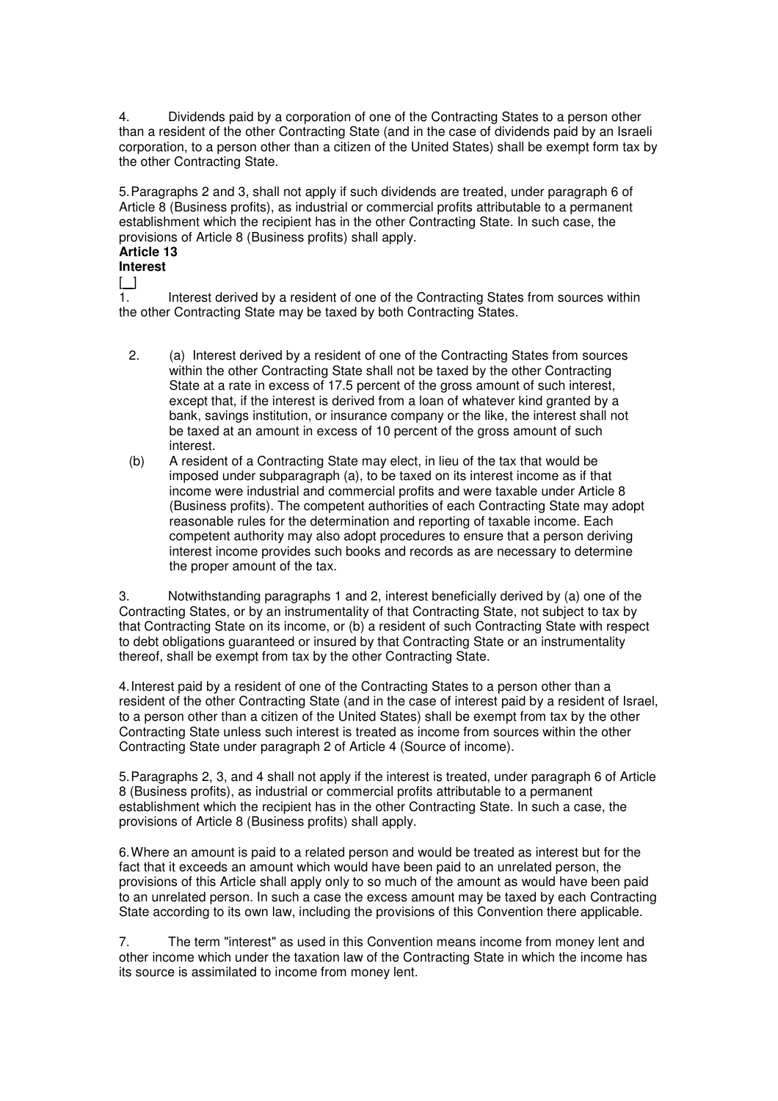4. Dividends paid by a corporation of one of the Contracting States to a person other than a resident of the other Contracting State (and in the case of dividends paid by an Israeli corporation, to a person other than a citizen of the United States) shall be exempt form tax by the other Contracting State.

5.Paragraphs 2 and 3, shall not apply if such dividends are treated, under paragraph 6 of Article 8 (Business profits), as industrial or commercial profits attributable to a permanent establishment which the recipient has in the other Contracting State. In such case, the provisions of Article 8 (Business profits) shall apply.

#### **Article 13 Interest**

1. Interest derived by a resident of one of the Contracting States from sources within the other Contracting State may be taxed by both Contracting States.

- 2. (a) Interest derived by a resident of one of the Contracting States from sources within the other Contracting State shall not be taxed by the other Contracting State at a rate in excess of 17.5 percent of the gross amount of such interest, except that, if the interest is derived from a loan of whatever kind granted by a bank, savings institution, or insurance company or the like, the interest shall not be taxed at an amount in excess of 10 percent of the gross amount of such interest.
- (b) A resident of a Contracting State may elect, in lieu of the tax that would be imposed under subparagraph (a), to be taxed on its interest income as if that income were industrial and commercial profits and were taxable under Article 8 (Business profits). The competent authorities of each Contracting State may adopt reasonable rules for the determination and reporting of taxable income. Each competent authority may also adopt procedures to ensure that a person deriving interest income provides such books and records as are necessary to determine the proper amount of the tax.

3. Notwithstanding paragraphs 1 and 2, interest beneficially derived by (a) one of the Contracting States, or by an instrumentality of that Contracting State, not subject to tax by that Contracting State on its income, or (b) a resident of such Contracting State with respect to debt obligations guaranteed or insured by that Contracting State or an instrumentality thereof, shall be exempt from tax by the other Contracting State.

4.Interest paid by a resident of one of the Contracting States to a person other than a resident of the other Contracting State (and in the case of interest paid by a resident of Israel, to a person other than a citizen of the United States) shall be exempt from tax by the other Contracting State unless such interest is treated as income from sources within the other Contracting State under paragraph 2 of Article 4 (Source of income).

5.Paragraphs 2, 3, and 4 shall not apply if the interest is treated, under paragraph 6 of Article 8 (Business profits), as industrial or commercial profits attributable to a permanent establishment which the recipient has in the other Contracting State. In such a case, the provisions of Article 8 (Business profits) shall apply.

6.Where an amount is paid to a related person and would be treated as interest but for the fact that it exceeds an amount which would have been paid to an unrelated person, the provisions of this Article shall apply only to so much of the amount as would have been paid to an unrelated person. In such a case the excess amount may be taxed by each Contracting State according to its own law, including the provisions of this Convention there applicable.

7. The term "interest" as used in this Convention means income from money lent and other income which under the taxation law of the Contracting State in which the income has its source is assimilated to income from money lent.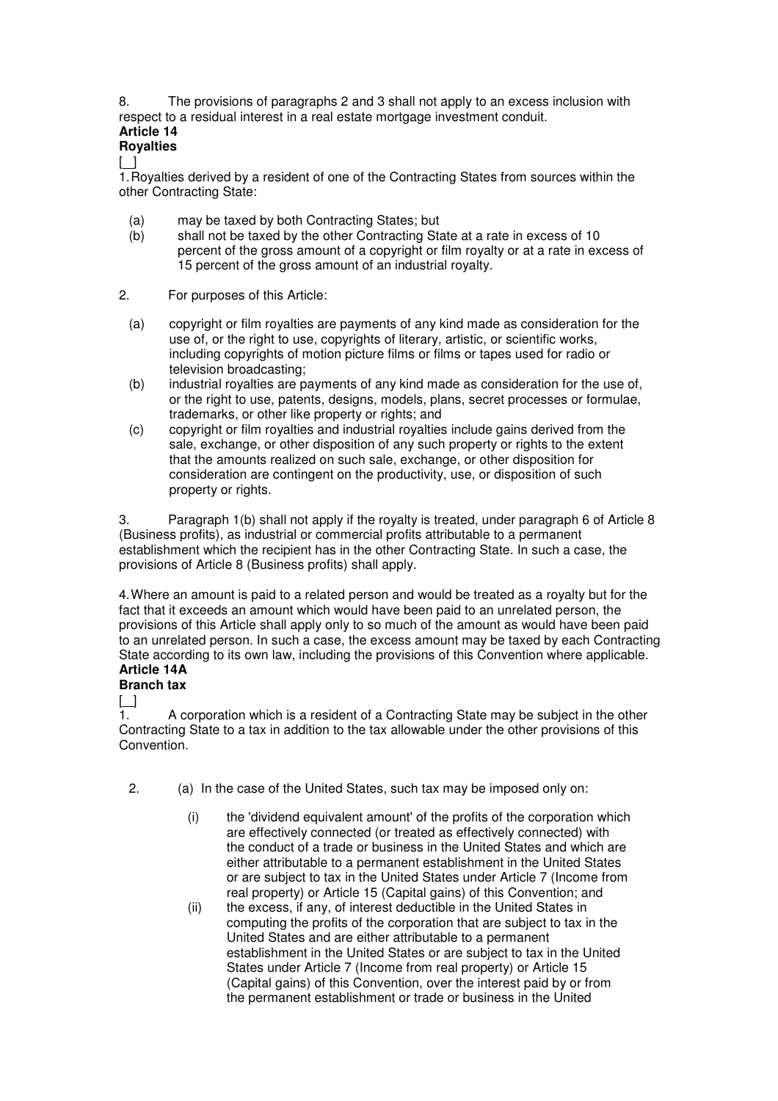8. The provisions of paragraphs 2 and 3 shall not apply to an excess inclusion with respect to a residual interest in a real estate mortgage investment conduit. **Article 14** 

#### **Royalties**

 $\lceil$   $\rceil$ 

1.Royalties derived by a resident of one of the Contracting States from sources within the other Contracting State:

- (a) may be taxed by both Contracting States; but
- (b) shall not be taxed by the other Contracting State at a rate in excess of 10 percent of the gross amount of a copyright or film royalty or at a rate in excess of 15 percent of the gross amount of an industrial royalty.
- 2. For purposes of this Article:
	- (a) copyright or film royalties are payments of any kind made as consideration for the use of, or the right to use, copyrights of literary, artistic, or scientific works, including copyrights of motion picture films or films or tapes used for radio or television broadcasting;
	- (b) industrial royalties are payments of any kind made as consideration for the use of, or the right to use, patents, designs, models, plans, secret processes or formulae, trademarks, or other like property or rights; and
	- (c) copyright or film royalties and industrial royalties include gains derived from the sale, exchange, or other disposition of any such property or rights to the extent that the amounts realized on such sale, exchange, or other disposition for consideration are contingent on the productivity, use, or disposition of such property or rights.

3. Paragraph 1(b) shall not apply if the royalty is treated, under paragraph 6 of Article 8 (Business profits), as industrial or commercial profits attributable to a permanent establishment which the recipient has in the other Contracting State. In such a case, the provisions of Article 8 (Business profits) shall apply.

4.Where an amount is paid to a related person and would be treated as a royalty but for the fact that it exceeds an amount which would have been paid to an unrelated person, the provisions of this Article shall apply only to so much of the amount as would have been paid to an unrelated person. In such a case, the excess amount may be taxed by each Contracting State according to its own law, including the provisions of this Convention where applicable. **Article 14A** 

# **Branch tax**

 $\Box$ 

1. A corporation which is a resident of a Contracting State may be subject in the other Contracting State to a tax in addition to the tax allowable under the other provisions of this Convention.

- 2. (a) In the case of the United States, such tax may be imposed only on:
	- (i) the 'dividend equivalent amount' of the profits of the corporation which are effectively connected (or treated as effectively connected) with the conduct of a trade or business in the United States and which are either attributable to a permanent establishment in the United States or are subject to tax in the United States under Article 7 (Income from real property) or Article 15 (Capital gains) of this Convention; and
	- (ii) the excess, if any, of interest deductible in the United States in computing the profits of the corporation that are subject to tax in the United States and are either attributable to a permanent establishment in the United States or are subject to tax in the United States under Article 7 (Income from real property) or Article 15 (Capital gains) of this Convention, over the interest paid by or from the permanent establishment or trade or business in the United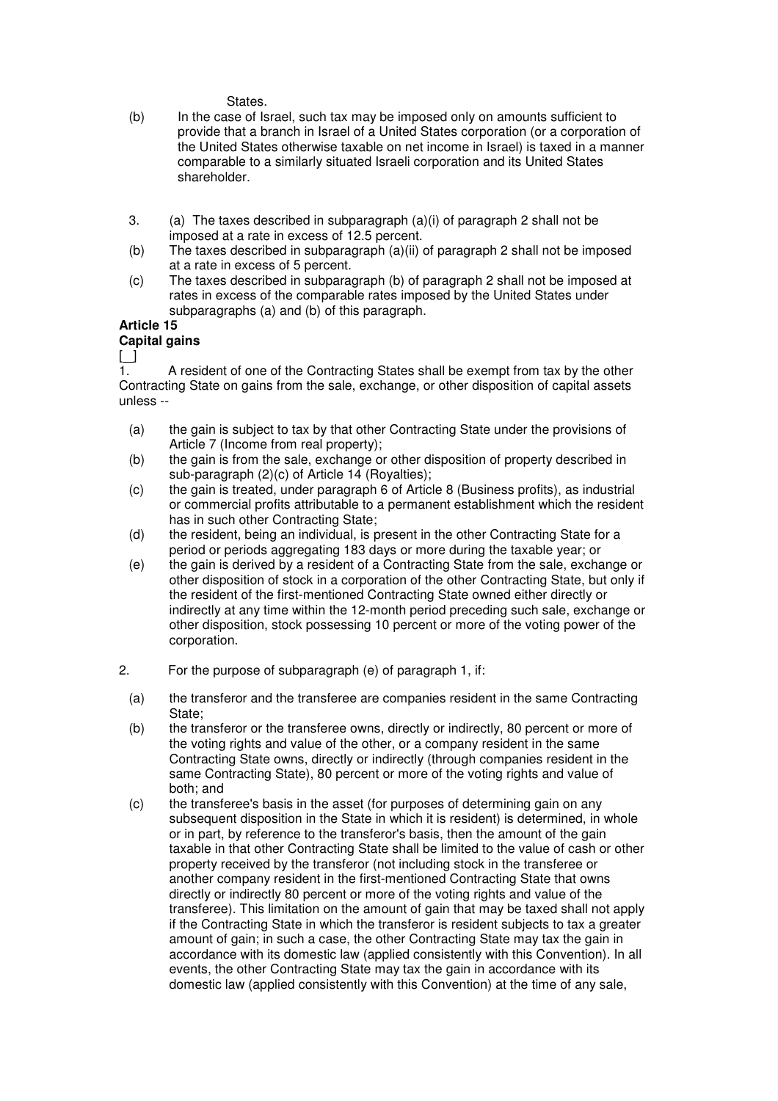States.

- (b) In the case of Israel, such tax may be imposed only on amounts sufficient to provide that a branch in Israel of a United States corporation (or a corporation of the United States otherwise taxable on net income in Israel) is taxed in a manner comparable to a similarly situated Israeli corporation and its United States shareholder.
- 3. (a) The taxes described in subparagraph  $(a)(i)$  of paragraph 2 shall not be imposed at a rate in excess of 12.5 percent.
- (b) The taxes described in subparagraph (a)(ii) of paragraph 2 shall not be imposed at a rate in excess of 5 percent.
- (c) The taxes described in subparagraph (b) of paragraph 2 shall not be imposed at rates in excess of the comparable rates imposed by the United States under subparagraphs (a) and (b) of this paragraph.

# **Article 15**

### **Capital gains**

[ ] 1. A resident of one of the Contracting States shall be exempt from tax by the other Contracting State on gains from the sale, exchange, or other disposition of capital assets unless --

- (a) the gain is subject to tax by that other Contracting State under the provisions of Article 7 (Income from real property);
- (b) the gain is from the sale, exchange or other disposition of property described in sub-paragraph (2)(c) of Article 14 (Royalties);
- (c) the gain is treated, under paragraph 6 of Article 8 (Business profits), as industrial or commercial profits attributable to a permanent establishment which the resident has in such other Contracting State;
- (d) the resident, being an individual, is present in the other Contracting State for a period or periods aggregating 183 days or more during the taxable year; or
- (e) the gain is derived by a resident of a Contracting State from the sale, exchange or other disposition of stock in a corporation of the other Contracting State, but only if the resident of the first-mentioned Contracting State owned either directly or indirectly at any time within the 12-month period preceding such sale, exchange or other disposition, stock possessing 10 percent or more of the voting power of the corporation.
- 2. For the purpose of subparagraph (e) of paragraph 1, if:
	- (a) the transferor and the transferee are companies resident in the same Contracting State;
	- (b) the transferor or the transferee owns, directly or indirectly, 80 percent or more of the voting rights and value of the other, or a company resident in the same Contracting State owns, directly or indirectly (through companies resident in the same Contracting State), 80 percent or more of the voting rights and value of both; and
	- (c) the transferee's basis in the asset (for purposes of determining gain on any subsequent disposition in the State in which it is resident) is determined, in whole or in part, by reference to the transferor's basis, then the amount of the gain taxable in that other Contracting State shall be limited to the value of cash or other property received by the transferor (not including stock in the transferee or another company resident in the first-mentioned Contracting State that owns directly or indirectly 80 percent or more of the voting rights and value of the transferee). This limitation on the amount of gain that may be taxed shall not apply if the Contracting State in which the transferor is resident subjects to tax a greater amount of gain; in such a case, the other Contracting State may tax the gain in accordance with its domestic law (applied consistently with this Convention). In all events, the other Contracting State may tax the gain in accordance with its domestic law (applied consistently with this Convention) at the time of any sale,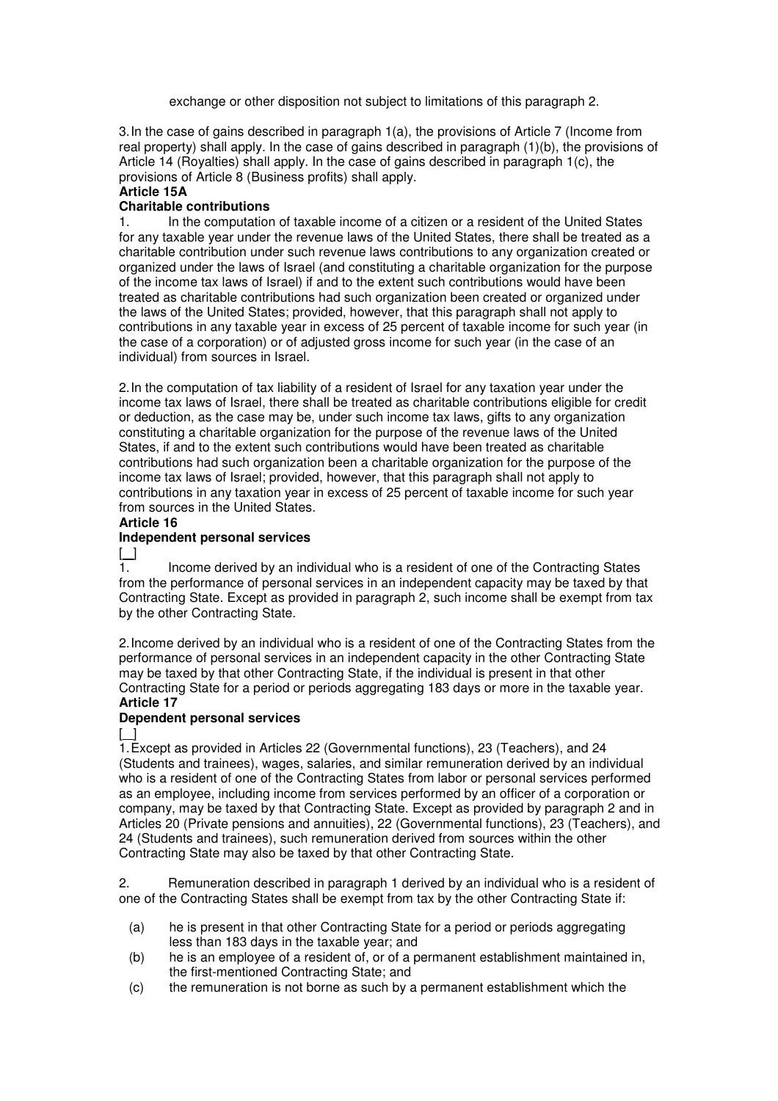exchange or other disposition not subject to limitations of this paragraph 2.

3.In the case of gains described in paragraph 1(a), the provisions of Article 7 (Income from real property) shall apply. In the case of gains described in paragraph (1)(b), the provisions of Article 14 (Royalties) shall apply. In the case of gains described in paragraph 1(c), the provisions of Article 8 (Business profits) shall apply.

### **Article 15A**

#### **Charitable contributions**

1. In the computation of taxable income of a citizen or a resident of the United States for any taxable year under the revenue laws of the United States, there shall be treated as a charitable contribution under such revenue laws contributions to any organization created or organized under the laws of Israel (and constituting a charitable organization for the purpose of the income tax laws of Israel) if and to the extent such contributions would have been treated as charitable contributions had such organization been created or organized under the laws of the United States; provided, however, that this paragraph shall not apply to contributions in any taxable year in excess of 25 percent of taxable income for such year (in the case of a corporation) or of adjusted gross income for such year (in the case of an individual) from sources in Israel.

2.In the computation of tax liability of a resident of Israel for any taxation year under the income tax laws of Israel, there shall be treated as charitable contributions eligible for credit or deduction, as the case may be, under such income tax laws, gifts to any organization constituting a charitable organization for the purpose of the revenue laws of the United States, if and to the extent such contributions would have been treated as charitable contributions had such organization been a charitable organization for the purpose of the income tax laws of Israel; provided, however, that this paragraph shall not apply to contributions in any taxation year in excess of 25 percent of taxable income for such year from sources in the United States.

#### **Article 16**

#### **Independent personal services**

 $\lceil$   $\rceil$ 

1. Income derived by an individual who is a resident of one of the Contracting States from the performance of personal services in an independent capacity may be taxed by that Contracting State. Except as provided in paragraph 2, such income shall be exempt from tax by the other Contracting State.

2.Income derived by an individual who is a resident of one of the Contracting States from the performance of personal services in an independent capacity in the other Contracting State may be taxed by that other Contracting State, if the individual is present in that other Contracting State for a period or periods aggregating 183 days or more in the taxable year. **Article 17** 

#### **Dependent personal services**

 $\Box$ 

1.Except as provided in Articles 22 (Governmental functions), 23 (Teachers), and 24 (Students and trainees), wages, salaries, and similar remuneration derived by an individual who is a resident of one of the Contracting States from labor or personal services performed as an employee, including income from services performed by an officer of a corporation or company, may be taxed by that Contracting State. Except as provided by paragraph 2 and in Articles 20 (Private pensions and annuities), 22 (Governmental functions), 23 (Teachers), and 24 (Students and trainees), such remuneration derived from sources within the other Contracting State may also be taxed by that other Contracting State.

2. Remuneration described in paragraph 1 derived by an individual who is a resident of one of the Contracting States shall be exempt from tax by the other Contracting State if:

- (a) he is present in that other Contracting State for a period or periods aggregating less than 183 days in the taxable year; and
- (b) he is an employee of a resident of, or of a permanent establishment maintained in, the first-mentioned Contracting State; and
- (c) the remuneration is not borne as such by a permanent establishment which the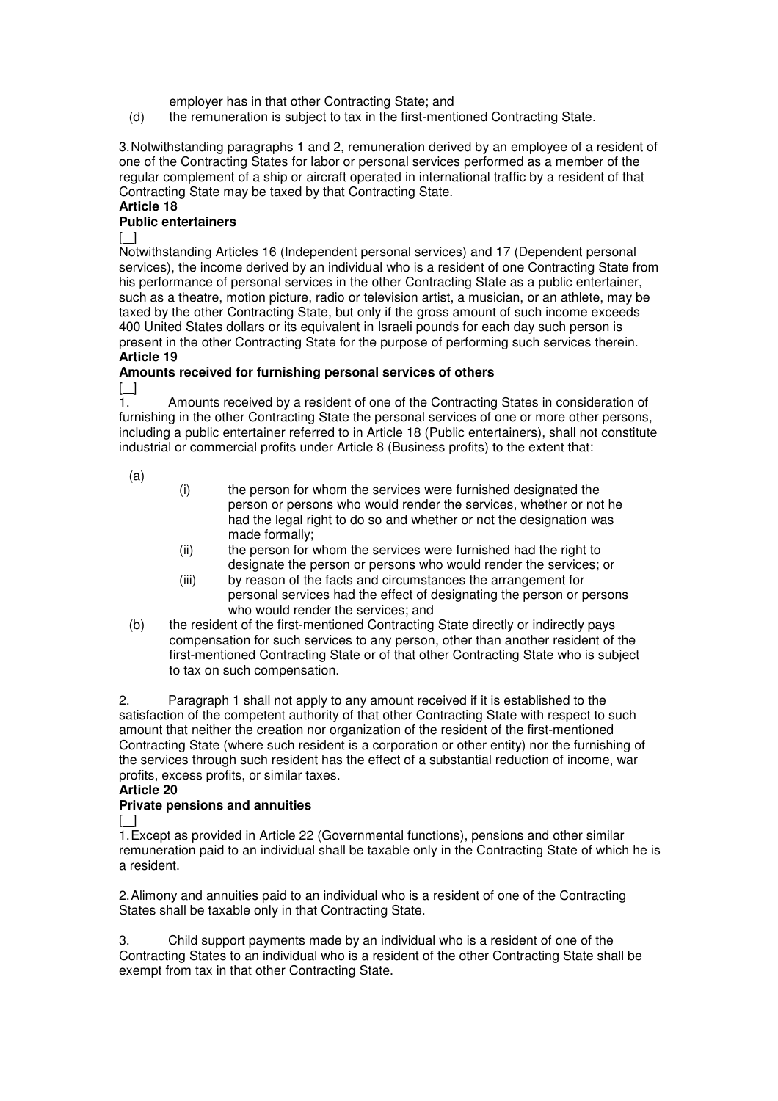employer has in that other Contracting State; and

(d) the remuneration is subject to tax in the first-mentioned Contracting State.

3.Notwithstanding paragraphs 1 and 2, remuneration derived by an employee of a resident of one of the Contracting States for labor or personal services performed as a member of the regular complement of a ship or aircraft operated in international traffic by a resident of that Contracting State may be taxed by that Contracting State. **Article 18** 

#### **Public entertainers**

[ ]

Notwithstanding Articles 16 (Independent personal services) and 17 (Dependent personal services), the income derived by an individual who is a resident of one Contracting State from his performance of personal services in the other Contracting State as a public entertainer, such as a theatre, motion picture, radio or television artist, a musician, or an athlete, may be taxed by the other Contracting State, but only if the gross amount of such income exceeds 400 United States dollars or its equivalent in Israeli pounds for each day such person is present in the other Contracting State for the purpose of performing such services therein. **Article 19** 

# **Amounts received for furnishing personal services of others**

[\_]<br>1. Amounts received by a resident of one of the Contracting States in consideration of furnishing in the other Contracting State the personal services of one or more other persons, including a public entertainer referred to in Article 18 (Public entertainers), shall not constitute industrial or commercial profits under Article 8 (Business profits) to the extent that:

(a)

- (i) the person for whom the services were furnished designated the person or persons who would render the services, whether or not he had the legal right to do so and whether or not the designation was made formally;
	- (ii) the person for whom the services were furnished had the right to designate the person or persons who would render the services; or
	- (iii) by reason of the facts and circumstances the arrangement for personal services had the effect of designating the person or persons who would render the services; and
- (b) the resident of the first-mentioned Contracting State directly or indirectly pays compensation for such services to any person, other than another resident of the first-mentioned Contracting State or of that other Contracting State who is subject to tax on such compensation.

2. Paragraph 1 shall not apply to any amount received if it is established to the satisfaction of the competent authority of that other Contracting State with respect to such amount that neither the creation nor organization of the resident of the first-mentioned Contracting State (where such resident is a corporation or other entity) nor the furnishing of the services through such resident has the effect of a substantial reduction of income, war profits, excess profits, or similar taxes.

#### **Article 20**

#### **Private pensions and annuities**

 $\Box$ 

1.Except as provided in Article 22 (Governmental functions), pensions and other similar remuneration paid to an individual shall be taxable only in the Contracting State of which he is a resident.

2.Alimony and annuities paid to an individual who is a resident of one of the Contracting States shall be taxable only in that Contracting State.

3. Child support payments made by an individual who is a resident of one of the Contracting States to an individual who is a resident of the other Contracting State shall be exempt from tax in that other Contracting State.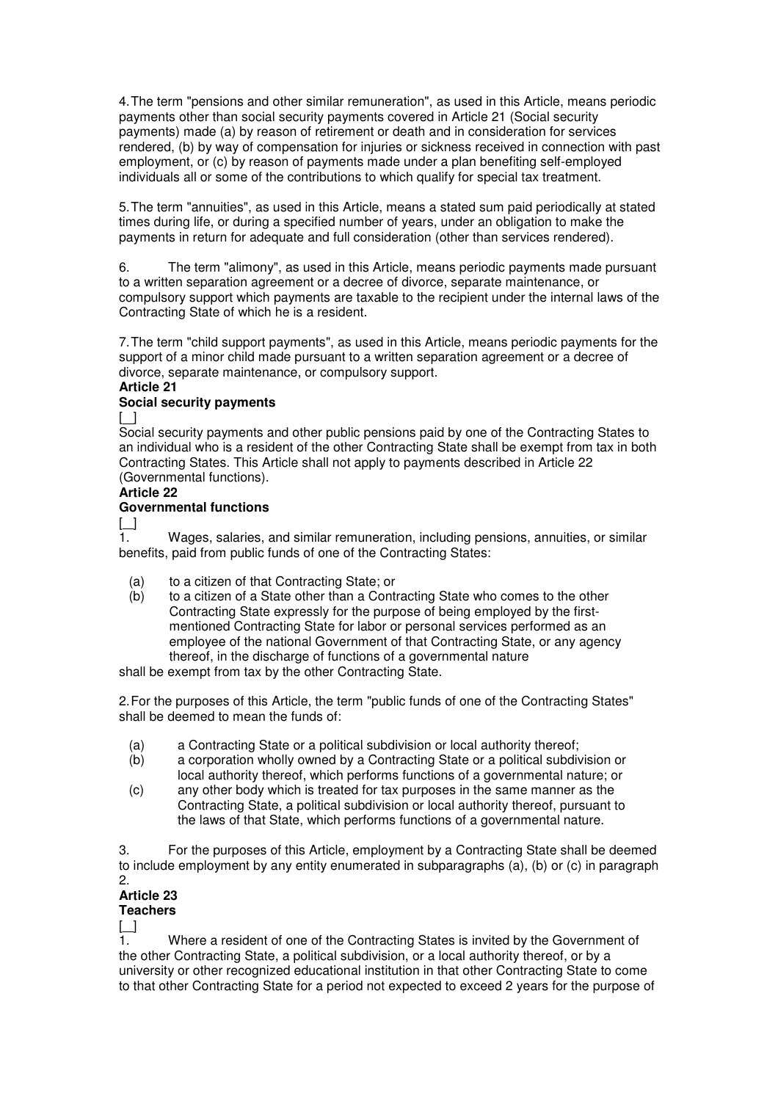4.The term "pensions and other similar remuneration", as used in this Article, means periodic payments other than social security payments covered in Article 21 (Social security payments) made (a) by reason of retirement or death and in consideration for services rendered, (b) by way of compensation for injuries or sickness received in connection with past employment, or (c) by reason of payments made under a plan benefiting self-employed individuals all or some of the contributions to which qualify for special tax treatment.

5.The term "annuities", as used in this Article, means a stated sum paid periodically at stated times during life, or during a specified number of years, under an obligation to make the payments in return for adequate and full consideration (other than services rendered).

6. The term "alimony", as used in this Article, means periodic payments made pursuant to a written separation agreement or a decree of divorce, separate maintenance, or compulsory support which payments are taxable to the recipient under the internal laws of the Contracting State of which he is a resident.

7.The term "child support payments", as used in this Article, means periodic payments for the support of a minor child made pursuant to a written separation agreement or a decree of divorce, separate maintenance, or compulsory support.

#### **Article 21**

#### **Social security payments**

 $\lceil$   $\rceil$ 

Social security payments and other public pensions paid by one of the Contracting States to an individual who is a resident of the other Contracting State shall be exempt from tax in both Contracting States. This Article shall not apply to payments described in Article 22 (Governmental functions).

#### **Article 22**

#### **Governmental functions**

 $\Box$ 

1. Wages, salaries, and similar remuneration, including pensions, annuities, or similar benefits, paid from public funds of one of the Contracting States:

- (a) to a citizen of that Contracting State; or
- $(b)$  to a citizen of a State other than a Contracting State who comes to the other Contracting State expressly for the purpose of being employed by the firstmentioned Contracting State for labor or personal services performed as an employee of the national Government of that Contracting State, or any agency thereof, in the discharge of functions of a governmental nature

shall be exempt from tax by the other Contracting State.

2.For the purposes of this Article, the term "public funds of one of the Contracting States" shall be deemed to mean the funds of:

- (a) a Contracting State or a political subdivision or local authority thereof;
- (b) a corporation wholly owned by a Contracting State or a political subdivision or local authority thereof, which performs functions of a governmental nature; or
- (c) any other body which is treated for tax purposes in the same manner as the Contracting State, a political subdivision or local authority thereof, pursuant to the laws of that State, which performs functions of a governmental nature.

3. For the purposes of this Article, employment by a Contracting State shall be deemed to include employment by any entity enumerated in subparagraphs (a), (b) or (c) in paragraph 2.

# **Article 23**

#### **Teachers**

 $\Box$ 

1. Where a resident of one of the Contracting States is invited by the Government of the other Contracting State, a political subdivision, or a local authority thereof, or by a university or other recognized educational institution in that other Contracting State to come to that other Contracting State for a period not expected to exceed 2 years for the purpose of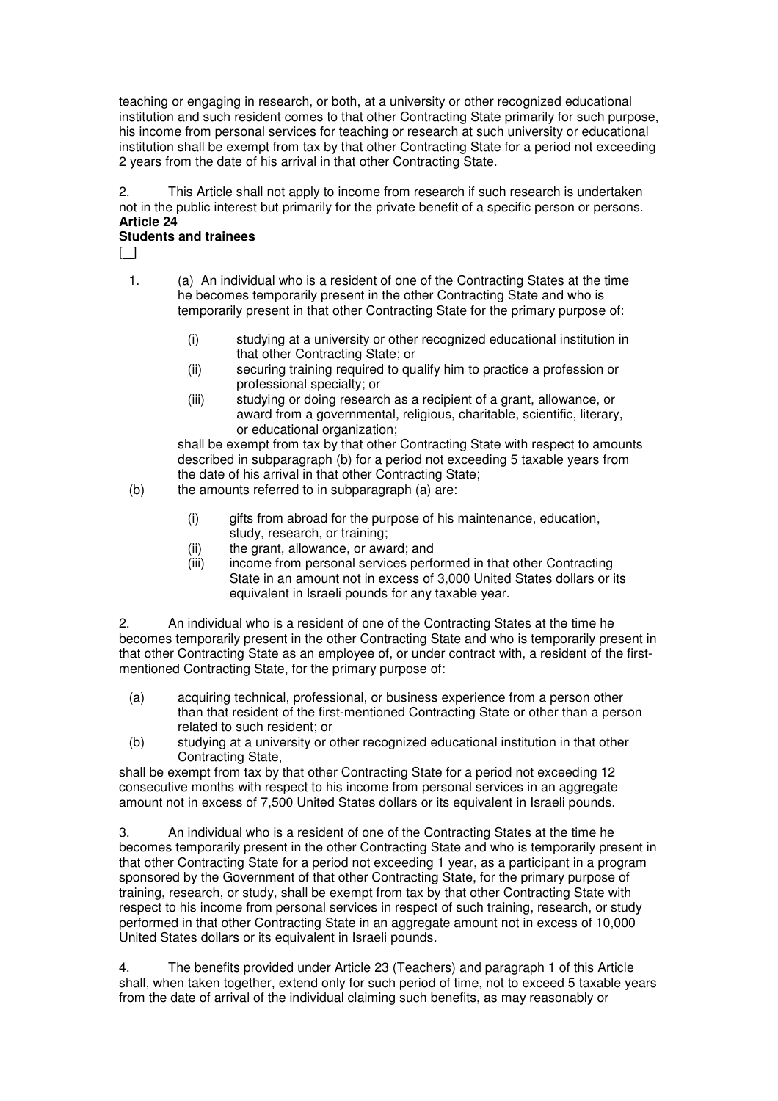teaching or engaging in research, or both, at a university or other recognized educational institution and such resident comes to that other Contracting State primarily for such purpose, his income from personal services for teaching or research at such university or educational institution shall be exempt from tax by that other Contracting State for a period not exceeding 2 years from the date of his arrival in that other Contracting State.

2. This Article shall not apply to income from research if such research is undertaken not in the public interest but primarily for the private benefit of a specific person or persons. **Article 24** 

#### **Students and trainees**

[ ]

- 1. (a) An individual who is a resident of one of the Contracting States at the time he becomes temporarily present in the other Contracting State and who is temporarily present in that other Contracting State for the primary purpose of:
	- (i) studying at a university or other recognized educational institution in that other Contracting State; or
	- (ii) securing training required to qualify him to practice a profession or professional specialty; or
	- (iii) studying or doing research as a recipient of a grant, allowance, or award from a governmental, religious, charitable, scientific, literary, or educational organization;

shall be exempt from tax by that other Contracting State with respect to amounts described in subparagraph (b) for a period not exceeding 5 taxable years from the date of his arrival in that other Contracting State;

- (b) the amounts referred to in subparagraph (a) are:
	- (i) gifts from abroad for the purpose of his maintenance, education, study, research, or training;
	- (ii) the grant, allowance, or award; and
	- (iii) income from personal services performed in that other Contracting State in an amount not in excess of 3,000 United States dollars or its equivalent in Israeli pounds for any taxable year.

2. An individual who is a resident of one of the Contracting States at the time he becomes temporarily present in the other Contracting State and who is temporarily present in that other Contracting State as an employee of, or under contract with, a resident of the firstmentioned Contracting State, for the primary purpose of:

- (a) acquiring technical, professional, or business experience from a person other than that resident of the first-mentioned Contracting State or other than a person related to such resident; or
- (b) studying at a university or other recognized educational institution in that other Contracting State,

shall be exempt from tax by that other Contracting State for a period not exceeding 12 consecutive months with respect to his income from personal services in an aggregate amount not in excess of 7,500 United States dollars or its equivalent in Israeli pounds.

3. An individual who is a resident of one of the Contracting States at the time he becomes temporarily present in the other Contracting State and who is temporarily present in that other Contracting State for a period not exceeding 1 year, as a participant in a program sponsored by the Government of that other Contracting State, for the primary purpose of training, research, or study, shall be exempt from tax by that other Contracting State with respect to his income from personal services in respect of such training, research, or study performed in that other Contracting State in an aggregate amount not in excess of 10,000 United States dollars or its equivalent in Israeli pounds.

4. The benefits provided under Article 23 (Teachers) and paragraph 1 of this Article shall, when taken together, extend only for such period of time, not to exceed 5 taxable years from the date of arrival of the individual claiming such benefits, as may reasonably or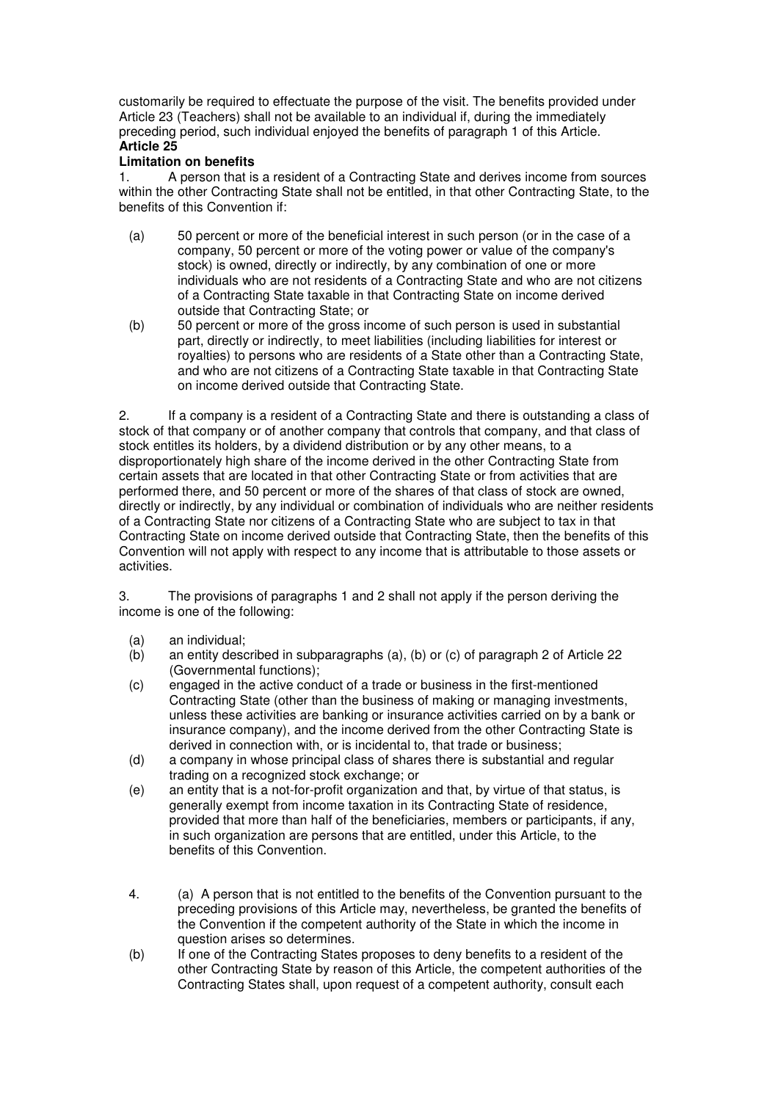customarily be required to effectuate the purpose of the visit. The benefits provided under Article 23 (Teachers) shall not be available to an individual if, during the immediately preceding period, such individual enjoyed the benefits of paragraph 1 of this Article. **Article 25** 

#### **Limitation on benefits**

1. A person that is a resident of a Contracting State and derives income from sources within the other Contracting State shall not be entitled, in that other Contracting State, to the benefits of this Convention if:

- (a) 50 percent or more of the beneficial interest in such person (or in the case of a company, 50 percent or more of the voting power or value of the company's stock) is owned, directly or indirectly, by any combination of one or more individuals who are not residents of a Contracting State and who are not citizens of a Contracting State taxable in that Contracting State on income derived outside that Contracting State; or
- (b) 50 percent or more of the gross income of such person is used in substantial part, directly or indirectly, to meet liabilities (including liabilities for interest or royalties) to persons who are residents of a State other than a Contracting State, and who are not citizens of a Contracting State taxable in that Contracting State on income derived outside that Contracting State.

2. If a company is a resident of a Contracting State and there is outstanding a class of stock of that company or of another company that controls that company, and that class of stock entitles its holders, by a dividend distribution or by any other means, to a disproportionately high share of the income derived in the other Contracting State from certain assets that are located in that other Contracting State or from activities that are performed there, and 50 percent or more of the shares of that class of stock are owned, directly or indirectly, by any individual or combination of individuals who are neither residents of a Contracting State nor citizens of a Contracting State who are subject to tax in that Contracting State on income derived outside that Contracting State, then the benefits of this Convention will not apply with respect to any income that is attributable to those assets or activities.

3. The provisions of paragraphs 1 and 2 shall not apply if the person deriving the income is one of the following:

- (a) an individual;
- (b) an entity described in subparagraphs (a), (b) or (c) of paragraph 2 of Article 22 (Governmental functions);
- (c) engaged in the active conduct of a trade or business in the first-mentioned Contracting State (other than the business of making or managing investments, unless these activities are banking or insurance activities carried on by a bank or insurance company), and the income derived from the other Contracting State is derived in connection with, or is incidental to, that trade or business;
- (d) a company in whose principal class of shares there is substantial and regular trading on a recognized stock exchange; or
- (e) an entity that is a not-for-profit organization and that, by virtue of that status, is generally exempt from income taxation in its Contracting State of residence, provided that more than half of the beneficiaries, members or participants, if any, in such organization are persons that are entitled, under this Article, to the benefits of this Convention.
- 4. (a) A person that is not entitled to the benefits of the Convention pursuant to the preceding provisions of this Article may, nevertheless, be granted the benefits of the Convention if the competent authority of the State in which the income in question arises so determines.
- (b) If one of the Contracting States proposes to deny benefits to a resident of the other Contracting State by reason of this Article, the competent authorities of the Contracting States shall, upon request of a competent authority, consult each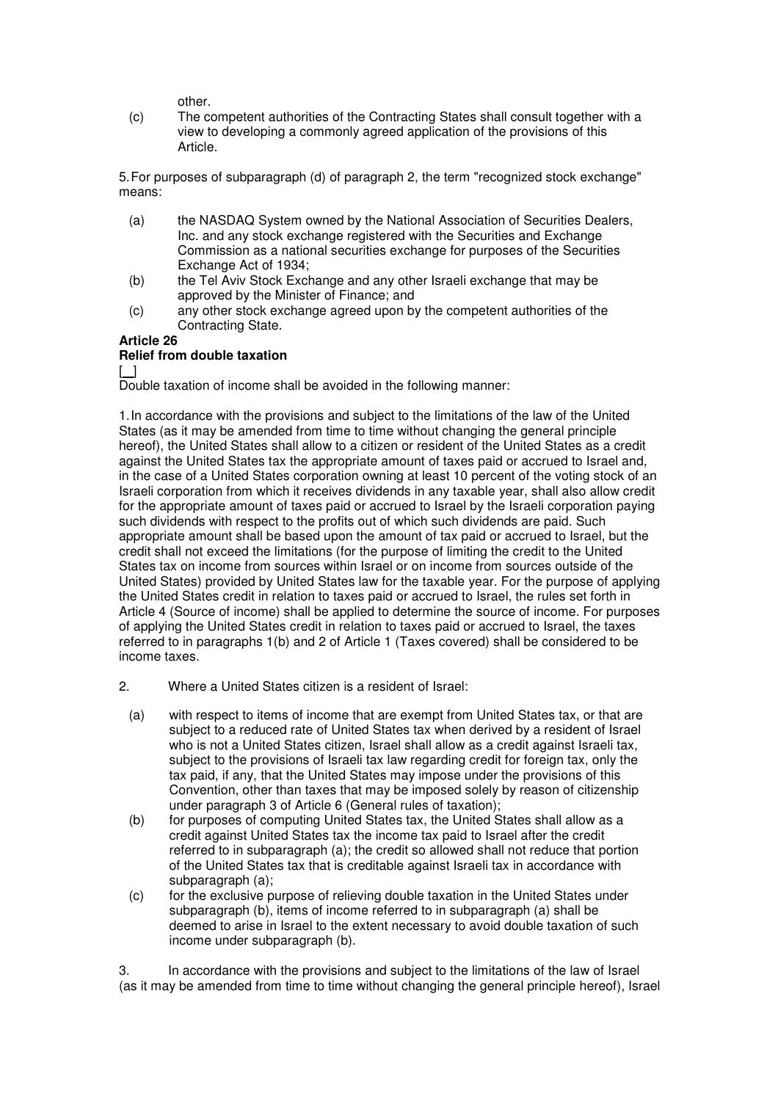other.

(c) The competent authorities of the Contracting States shall consult together with a view to developing a commonly agreed application of the provisions of this Article.

5.For purposes of subparagraph (d) of paragraph 2, the term "recognized stock exchange" means:

- (a) the NASDAQ System owned by the National Association of Securities Dealers, Inc. and any stock exchange registered with the Securities and Exchange Commission as a national securities exchange for purposes of the Securities Exchange Act of 1934;
- (b) the Tel Aviv Stock Exchange and any other Israeli exchange that may be approved by the Minister of Finance; and
- (c) any other stock exchange agreed upon by the competent authorities of the Contracting State.

# **Article 26**

#### **Relief from double taxation**

 $\blacksquare$ 

Double taxation of income shall be avoided in the following manner:

1.In accordance with the provisions and subject to the limitations of the law of the United States (as it may be amended from time to time without changing the general principle hereof), the United States shall allow to a citizen or resident of the United States as a credit against the United States tax the appropriate amount of taxes paid or accrued to Israel and, in the case of a United States corporation owning at least 10 percent of the voting stock of an Israeli corporation from which it receives dividends in any taxable year, shall also allow credit for the appropriate amount of taxes paid or accrued to Israel by the Israeli corporation paying such dividends with respect to the profits out of which such dividends are paid. Such appropriate amount shall be based upon the amount of tax paid or accrued to Israel, but the credit shall not exceed the limitations (for the purpose of limiting the credit to the United States tax on income from sources within Israel or on income from sources outside of the United States) provided by United States law for the taxable year. For the purpose of applying the United States credit in relation to taxes paid or accrued to Israel, the rules set forth in Article 4 (Source of income) shall be applied to determine the source of income. For purposes of applying the United States credit in relation to taxes paid or accrued to Israel, the taxes referred to in paragraphs 1(b) and 2 of Article 1 (Taxes covered) shall be considered to be income taxes.

- 2. Where a United States citizen is a resident of Israel:
	- (a) with respect to items of income that are exempt from United States tax, or that are subject to a reduced rate of United States tax when derived by a resident of Israel who is not a United States citizen, Israel shall allow as a credit against Israeli tax, subject to the provisions of Israeli tax law regarding credit for foreign tax, only the tax paid, if any, that the United States may impose under the provisions of this Convention, other than taxes that may be imposed solely by reason of citizenship under paragraph 3 of Article 6 (General rules of taxation);
	- (b) for purposes of computing United States tax, the United States shall allow as a credit against United States tax the income tax paid to Israel after the credit referred to in subparagraph (a); the credit so allowed shall not reduce that portion of the United States tax that is creditable against Israeli tax in accordance with subparagraph (a);
	- (c) for the exclusive purpose of relieving double taxation in the United States under subparagraph (b), items of income referred to in subparagraph (a) shall be deemed to arise in Israel to the extent necessary to avoid double taxation of such income under subparagraph (b).

3. In accordance with the provisions and subject to the limitations of the law of Israel (as it may be amended from time to time without changing the general principle hereof), Israel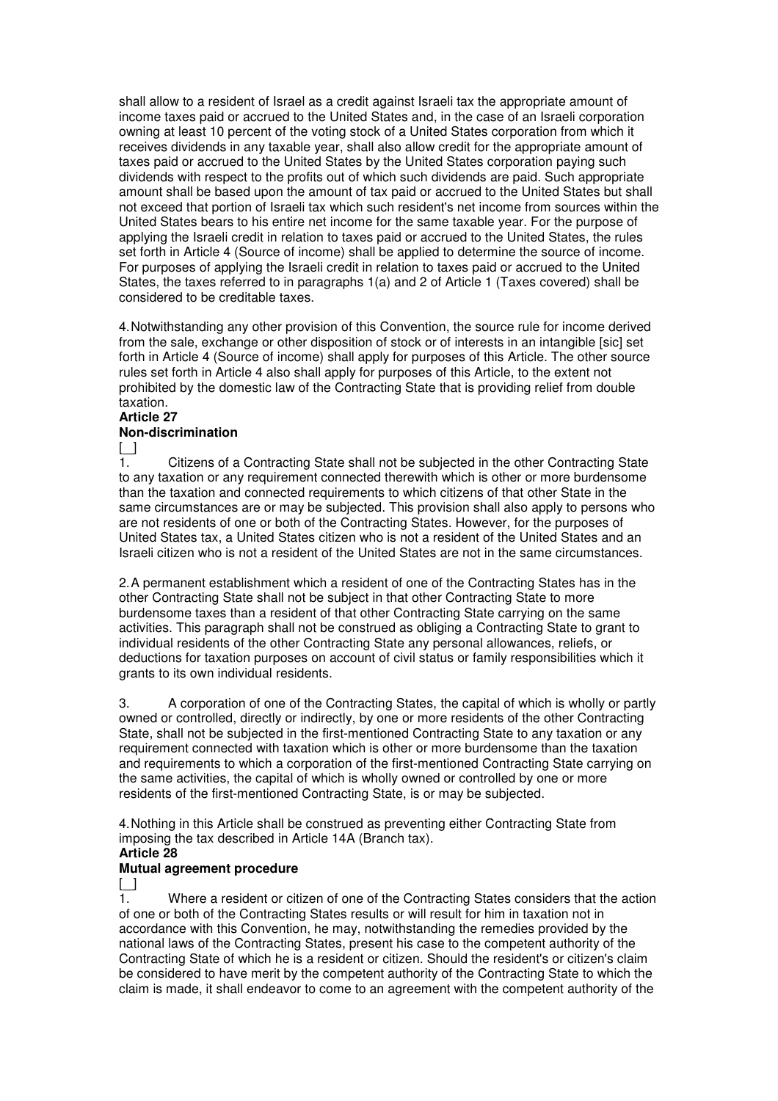shall allow to a resident of Israel as a credit against Israeli tax the appropriate amount of income taxes paid or accrued to the United States and, in the case of an Israeli corporation owning at least 10 percent of the voting stock of a United States corporation from which it receives dividends in any taxable year, shall also allow credit for the appropriate amount of taxes paid or accrued to the United States by the United States corporation paying such dividends with respect to the profits out of which such dividends are paid. Such appropriate amount shall be based upon the amount of tax paid or accrued to the United States but shall not exceed that portion of Israeli tax which such resident's net income from sources within the United States bears to his entire net income for the same taxable year. For the purpose of applying the Israeli credit in relation to taxes paid or accrued to the United States, the rules set forth in Article 4 (Source of income) shall be applied to determine the source of income. For purposes of applying the Israeli credit in relation to taxes paid or accrued to the United States, the taxes referred to in paragraphs 1(a) and 2 of Article 1 (Taxes covered) shall be considered to be creditable taxes.

4.Notwithstanding any other provision of this Convention, the source rule for income derived from the sale, exchange or other disposition of stock or of interests in an intangible [sic] set forth in Article 4 (Source of income) shall apply for purposes of this Article. The other source rules set forth in Article 4 also shall apply for purposes of this Article, to the extent not prohibited by the domestic law of the Contracting State that is providing relief from double taxation. **Article 27** 

#### **Non-discrimination**

 $\Box$ 

1. Citizens of a Contracting State shall not be subjected in the other Contracting State to any taxation or any requirement connected therewith which is other or more burdensome than the taxation and connected requirements to which citizens of that other State in the same circumstances are or may be subjected. This provision shall also apply to persons who are not residents of one or both of the Contracting States. However, for the purposes of United States tax, a United States citizen who is not a resident of the United States and an Israeli citizen who is not a resident of the United States are not in the same circumstances.

2.A permanent establishment which a resident of one of the Contracting States has in the other Contracting State shall not be subject in that other Contracting State to more burdensome taxes than a resident of that other Contracting State carrying on the same activities. This paragraph shall not be construed as obliging a Contracting State to grant to individual residents of the other Contracting State any personal allowances, reliefs, or deductions for taxation purposes on account of civil status or family responsibilities which it grants to its own individual residents.

3. A corporation of one of the Contracting States, the capital of which is wholly or partly owned or controlled, directly or indirectly, by one or more residents of the other Contracting State, shall not be subjected in the first-mentioned Contracting State to any taxation or any requirement connected with taxation which is other or more burdensome than the taxation and requirements to which a corporation of the first-mentioned Contracting State carrying on the same activities, the capital of which is wholly owned or controlled by one or more residents of the first-mentioned Contracting State, is or may be subjected.

4.Nothing in this Article shall be construed as preventing either Contracting State from imposing the tax described in Article 14A (Branch tax).

#### **Article 28**

#### **Mutual agreement procedure**

 $\lceil$   $\rceil$ 

1. Where a resident or citizen of one of the Contracting States considers that the action of one or both of the Contracting States results or will result for him in taxation not in accordance with this Convention, he may, notwithstanding the remedies provided by the national laws of the Contracting States, present his case to the competent authority of the Contracting State of which he is a resident or citizen. Should the resident's or citizen's claim be considered to have merit by the competent authority of the Contracting State to which the claim is made, it shall endeavor to come to an agreement with the competent authority of the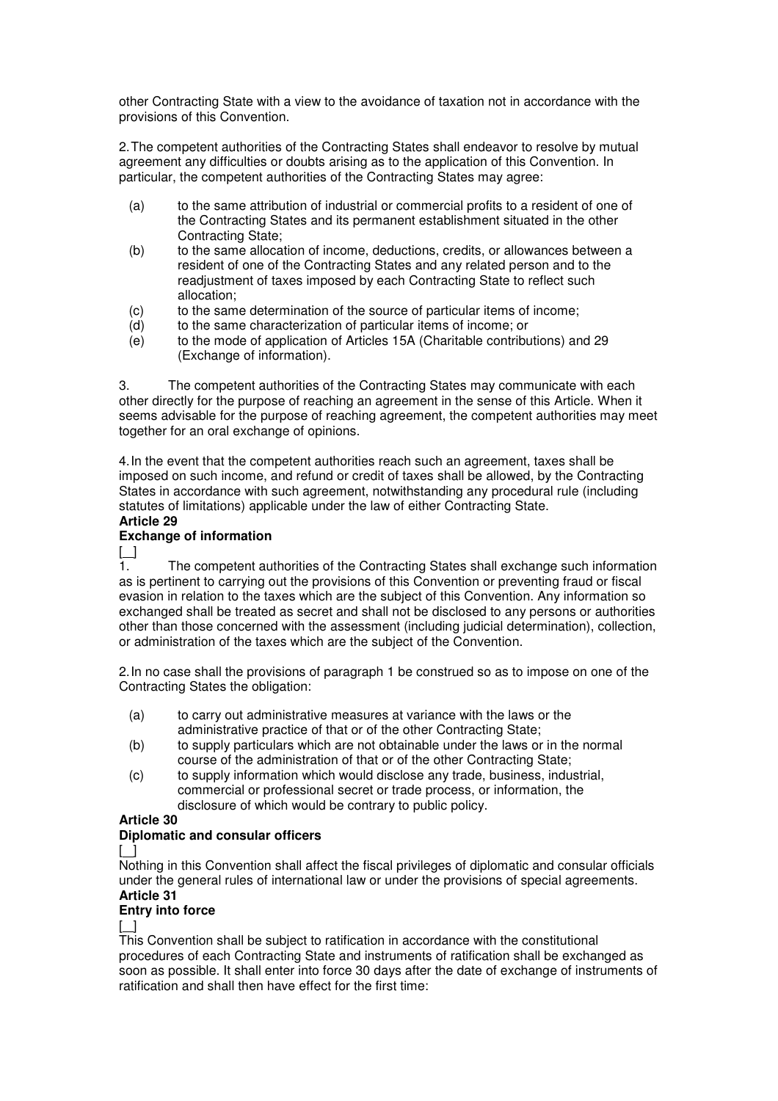other Contracting State with a view to the avoidance of taxation not in accordance with the provisions of this Convention.

2.The competent authorities of the Contracting States shall endeavor to resolve by mutual agreement any difficulties or doubts arising as to the application of this Convention. In particular, the competent authorities of the Contracting States may agree:

- (a) to the same attribution of industrial or commercial profits to a resident of one of the Contracting States and its permanent establishment situated in the other Contracting State;
- (b) to the same allocation of income, deductions, credits, or allowances between a resident of one of the Contracting States and any related person and to the readjustment of taxes imposed by each Contracting State to reflect such allocation;
- (c) to the same determination of the source of particular items of income;
- (d) to the same characterization of particular items of income; or
- (e) to the mode of application of Articles 15A (Charitable contributions) and 29 (Exchange of information).

3. The competent authorities of the Contracting States may communicate with each other directly for the purpose of reaching an agreement in the sense of this Article. When it seems advisable for the purpose of reaching agreement, the competent authorities may meet together for an oral exchange of opinions.

4.In the event that the competent authorities reach such an agreement, taxes shall be imposed on such income, and refund or credit of taxes shall be allowed, by the Contracting States in accordance with such agreement, notwithstanding any procedural rule (including statutes of limitations) applicable under the law of either Contracting State.

#### **Article 29 Exchange of information**

 $\prod_{\substack{1\\31}}$ 1. The competent authorities of the Contracting States shall exchange such information as is pertinent to carrying out the provisions of this Convention or preventing fraud or fiscal evasion in relation to the taxes which are the subject of this Convention. Any information so exchanged shall be treated as secret and shall not be disclosed to any persons or authorities other than those concerned with the assessment (including judicial determination), collection, or administration of the taxes which are the subject of the Convention.

2.In no case shall the provisions of paragraph 1 be construed so as to impose on one of the Contracting States the obligation:

- (a) to carry out administrative measures at variance with the laws or the administrative practice of that or of the other Contracting State;
- (b) to supply particulars which are not obtainable under the laws or in the normal course of the administration of that or of the other Contracting State;
- (c) to supply information which would disclose any trade, business, industrial, commercial or professional secret or trade process, or information, the disclosure of which would be contrary to public policy.

#### **Article 30**

#### **Diplomatic and consular officers**

 $\Box$ Nothing in this Convention shall affect the fiscal privileges of diplomatic and consular officials under the general rules of international law or under the provisions of special agreements. **Article 31** 

# **Entry into force**

 $\blacksquare$ 

This Convention shall be subject to ratification in accordance with the constitutional procedures of each Contracting State and instruments of ratification shall be exchanged as soon as possible. It shall enter into force 30 days after the date of exchange of instruments of ratification and shall then have effect for the first time: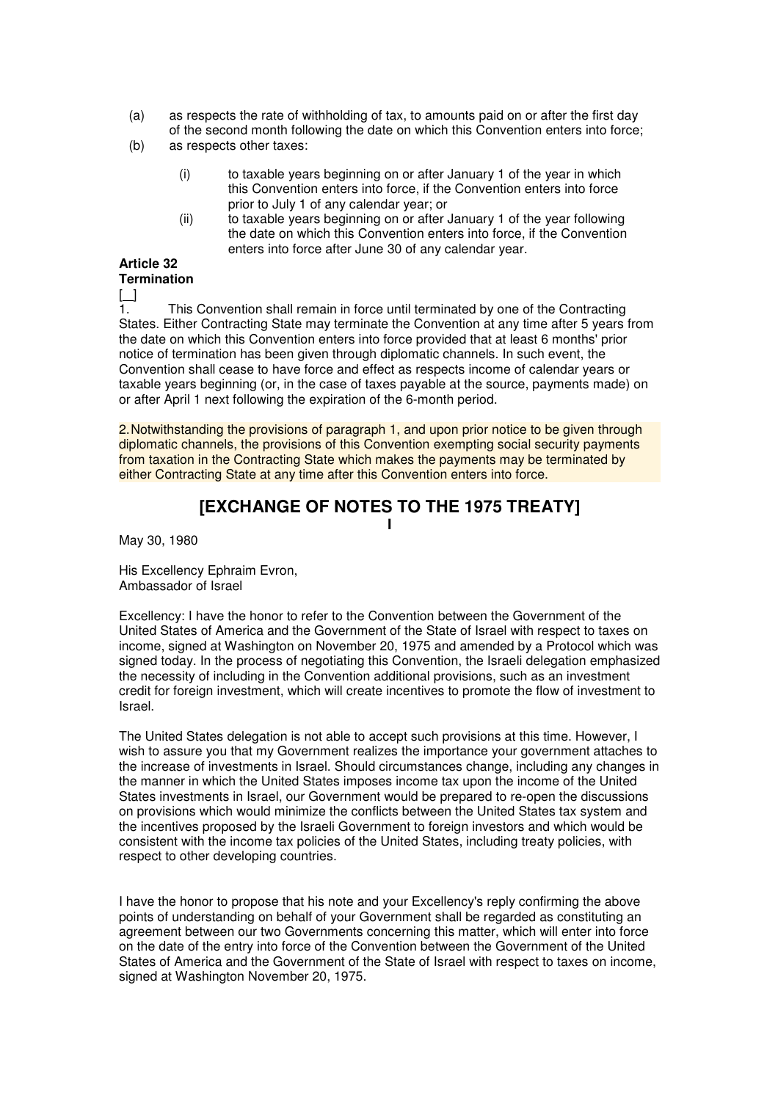- (a) as respects the rate of withholding of tax, to amounts paid on or after the first day of the second month following the date on which this Convention enters into force;
- (b) as respects other taxes:
	- (i) to taxable years beginning on or after January 1 of the year in which this Convention enters into force, if the Convention enters into force prior to July 1 of any calendar year; or
	- $(i)$  to taxable years beginning on or after January 1 of the year following the date on which this Convention enters into force, if the Convention enters into force after June 30 of any calendar year.

#### **Article 32 Termination**

 $\Box$ 

1. This Convention shall remain in force until terminated by one of the Contracting States. Either Contracting State may terminate the Convention at any time after 5 years from the date on which this Convention enters into force provided that at least 6 months' prior notice of termination has been given through diplomatic channels. In such event, the Convention shall cease to have force and effect as respects income of calendar years or taxable years beginning (or, in the case of taxes payable at the source, payments made) on or after April 1 next following the expiration of the 6-month period.

2.Notwithstanding the provisions of paragraph 1, and upon prior notice to be given through diplomatic channels, the provisions of this Convention exempting social security payments from taxation in the Contracting State which makes the payments may be terminated by either Contracting State at any time after this Convention enters into force.

#### **[EXCHANGE OF NOTES TO THE 1975 TREATY] I**

May 30, 1980

His Excellency Ephraim Evron, Ambassador of Israel

Excellency: I have the honor to refer to the Convention between the Government of the United States of America and the Government of the State of Israel with respect to taxes on income, signed at Washington on November 20, 1975 and amended by a Protocol which was signed today. In the process of negotiating this Convention, the Israeli delegation emphasized the necessity of including in the Convention additional provisions, such as an investment credit for foreign investment, which will create incentives to promote the flow of investment to Israel.

The United States delegation is not able to accept such provisions at this time. However, I wish to assure you that my Government realizes the importance your government attaches to the increase of investments in Israel. Should circumstances change, including any changes in the manner in which the United States imposes income tax upon the income of the United States investments in Israel, our Government would be prepared to re-open the discussions on provisions which would minimize the conflicts between the United States tax system and the incentives proposed by the Israeli Government to foreign investors and which would be consistent with the income tax policies of the United States, including treaty policies, with respect to other developing countries.

I have the honor to propose that his note and your Excellency's reply confirming the above points of understanding on behalf of your Government shall be regarded as constituting an agreement between our two Governments concerning this matter, which will enter into force on the date of the entry into force of the Convention between the Government of the United States of America and the Government of the State of Israel with respect to taxes on income, signed at Washington November 20, 1975.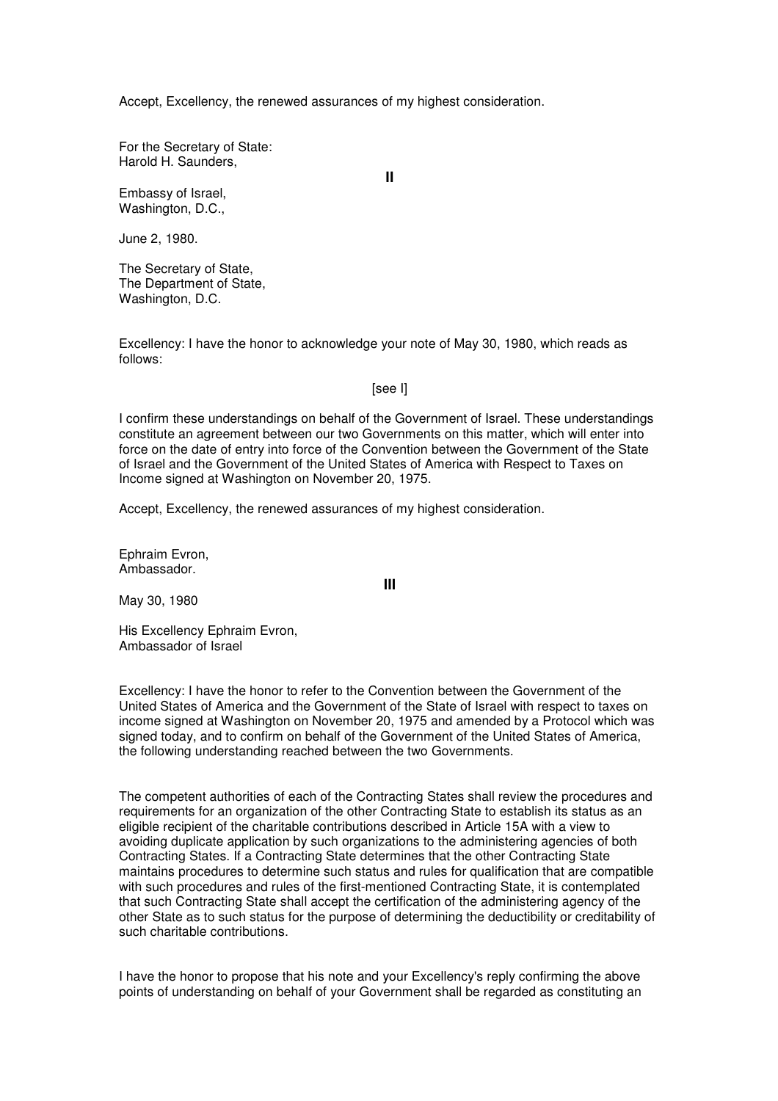Accept, Excellency, the renewed assurances of my highest consideration.

For the Secretary of State: Harold H. Saunders,

Embassy of Israel, Washington, D.C.,

June 2, 1980.

The Secretary of State, The Department of State, Washington, D.C.

Excellency: I have the honor to acknowledge your note of May 30, 1980, which reads as follows:

[see I]

**II** 

I confirm these understandings on behalf of the Government of Israel. These understandings constitute an agreement between our two Governments on this matter, which will enter into force on the date of entry into force of the Convention between the Government of the State of Israel and the Government of the United States of America with Respect to Taxes on Income signed at Washington on November 20, 1975.

Accept, Excellency, the renewed assurances of my highest consideration.

Ephraim Evron, Ambassador.

**III** 

May 30, 1980

His Excellency Ephraim Evron, Ambassador of Israel

Excellency: I have the honor to refer to the Convention between the Government of the United States of America and the Government of the State of Israel with respect to taxes on income signed at Washington on November 20, 1975 and amended by a Protocol which was signed today, and to confirm on behalf of the Government of the United States of America, the following understanding reached between the two Governments.

The competent authorities of each of the Contracting States shall review the procedures and requirements for an organization of the other Contracting State to establish its status as an eligible recipient of the charitable contributions described in Article 15A with a view to avoiding duplicate application by such organizations to the administering agencies of both Contracting States. If a Contracting State determines that the other Contracting State maintains procedures to determine such status and rules for qualification that are compatible with such procedures and rules of the first-mentioned Contracting State, it is contemplated that such Contracting State shall accept the certification of the administering agency of the other State as to such status for the purpose of determining the deductibility or creditability of such charitable contributions.

I have the honor to propose that his note and your Excellency's reply confirming the above points of understanding on behalf of your Government shall be regarded as constituting an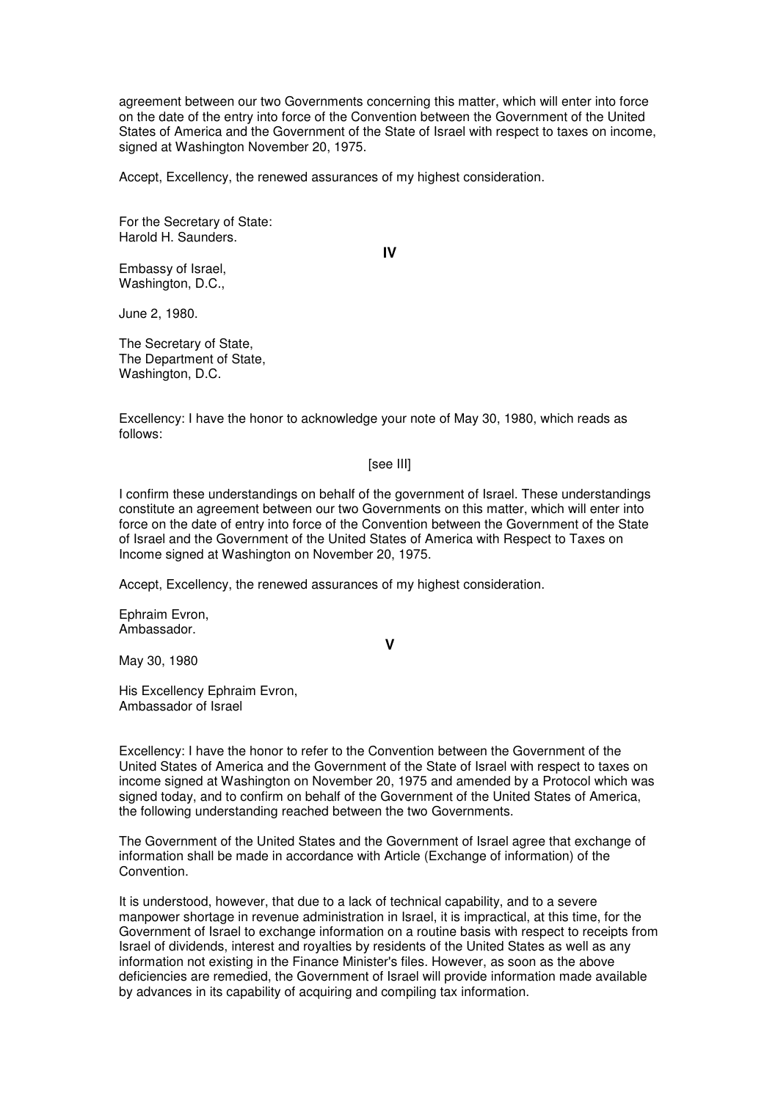agreement between our two Governments concerning this matter, which will enter into force on the date of the entry into force of the Convention between the Government of the United States of America and the Government of the State of Israel with respect to taxes on income, signed at Washington November 20, 1975.

Accept, Excellency, the renewed assurances of my highest consideration.

For the Secretary of State: Harold H. Saunders.

**IV** 

Embassy of Israel, Washington, D.C.,

June 2, 1980.

The Secretary of State, The Department of State, Washington, D.C.

Excellency: I have the honor to acknowledge your note of May 30, 1980, which reads as follows:

#### [see III]

I confirm these understandings on behalf of the government of Israel. These understandings constitute an agreement between our two Governments on this matter, which will enter into force on the date of entry into force of the Convention between the Government of the State of Israel and the Government of the United States of America with Respect to Taxes on Income signed at Washington on November 20, 1975.

Accept, Excellency, the renewed assurances of my highest consideration.

Ephraim Evron, Ambassador.

**V** 

May 30, 1980

His Excellency Ephraim Evron, Ambassador of Israel

Excellency: I have the honor to refer to the Convention between the Government of the United States of America and the Government of the State of Israel with respect to taxes on income signed at Washington on November 20, 1975 and amended by a Protocol which was signed today, and to confirm on behalf of the Government of the United States of America, the following understanding reached between the two Governments.

The Government of the United States and the Government of Israel agree that exchange of information shall be made in accordance with Article (Exchange of information) of the Convention.

It is understood, however, that due to a lack of technical capability, and to a severe manpower shortage in revenue administration in Israel, it is impractical, at this time, for the Government of Israel to exchange information on a routine basis with respect to receipts from Israel of dividends, interest and royalties by residents of the United States as well as any information not existing in the Finance Minister's files. However, as soon as the above deficiencies are remedied, the Government of Israel will provide information made available by advances in its capability of acquiring and compiling tax information.